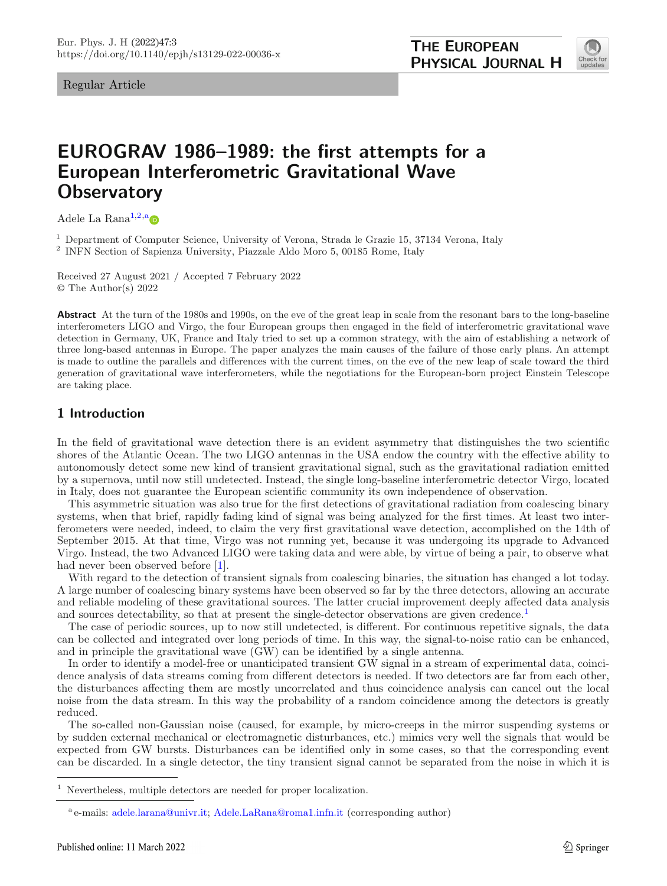Regular Article

<span id="page-0-0"></span>

# **EUROGRAV 1986–1989: the first attempts for a European Interferometric Gravitational Wave Observatory**

Adele La Rana<sup>[1,2,](#page-0-0)[a](http://orcid.org/0000-0001-8755-9322)</sup> $\bullet$ 

<sup>1</sup> Department of Computer Science, University of Verona, Strada le Grazie 15, 37134 Verona, Italy

<sup>2</sup> INFN Section of Sapienza University, Piazzale Aldo Moro 5, 00185 Rome, Italy

Received 27 August 2021 / Accepted 7 February 2022 © The Author(s) 2022

**Abstract** At the turn of the 1980s and 1990s, on the eve of the great leap in scale from the resonant bars to the long-baseline interferometers LIGO and Virgo, the four European groups then engaged in the field of interferometric gravitational wave detection in Germany, UK, France and Italy tried to set up a common strategy, with the aim of establishing a network of three long-based antennas in Europe. The paper analyzes the main causes of the failure of those early plans. An attempt is made to outline the parallels and differences with the current times, on the eve of the new leap of scale toward the third generation of gravitational wave interferometers, while the negotiations for the European-born project Einstein Telescope are taking place.

# **1 Introduction**

In the field of gravitational wave detection there is an evident asymmetry that distinguishes the two scientific shores of the Atlantic Ocean. The two LIGO antennas in the USA endow the country with the effective ability to autonomously detect some new kind of transient gravitational signal, such as the gravitational radiation emitted by a supernova, until now still undetected. Instead, the single long-baseline interferometric detector Virgo, located in Italy, does not guarantee the European scientific community its own independence of observation.

This asymmetric situation was also true for the first detections of gravitational radiation from coalescing binary systems, when that brief, rapidly fading kind of signal was being analyzed for the first times. At least two interferometers were needed, indeed, to claim the very first gravitational wave detection, accomplished on the 14th of September 2015. At that time, Virgo was not running yet, because it was undergoing its upgrade to Advanced Virgo. Instead, the two Advanced LIGO were taking data and were able, by virtue of being a pair, to observe what had never been observed before [\[1](#page-28-0)].

With regard to the detection of transient signals from coalescing binaries, the situation has changed a lot today. A large number of coalescing binary systems have been observed so far by the three detectors, allowing an accurate and reliable modeling of these gravitational sources. The latter crucial improvement deeply affected data analysis and sources detectability, so that at present the single-detector observations are given credence.<sup>1</sup>

The case of periodic sources, up to now still undetected, is different. For continuous repetitive signals, the data can be collected and integrated over long periods of time. In this way, the signal-to-noise ratio can be enhanced, and in principle the gravitational wave (GW) can be identified by a single antenna.

In order to identify a model-free or unanticipated transient GW signal in a stream of experimental data, coincidence analysis of data streams coming from different detectors is needed. If two detectors are far from each other, the disturbances affecting them are mostly uncorrelated and thus coincidence analysis can cancel out the local noise from the data stream. In this way the probability of a random coincidence among the detectors is greatly reduced.

The so-called non-Gaussian noise (caused, for example, by micro-creeps in the mirror suspending systems or by sudden external mechanical or electromagnetic disturbances, etc.) mimics very well the signals that would be expected from GW bursts. Disturbances can be identified only in some cases, so that the corresponding event can be discarded. In a single detector, the tiny transient signal cannot be separated from the noise in which it is

<sup>1</sup> Nevertheless, multiple detectors are needed for proper localization.

<sup>&</sup>lt;sup>a</sup> e-mails: [adele.larana@univr.it;](mailto:adele.larana@univr.it) [Adele.LaRana@roma1.infn.it](mailto:Adele.LaRana@roma1.infn.it) (corresponding author)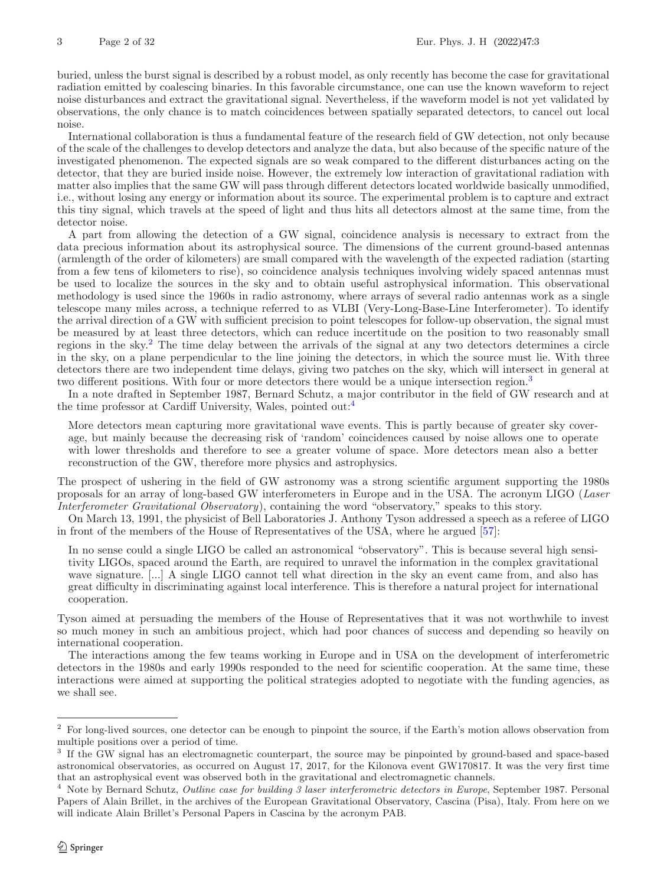buried, unless the burst signal is described by a robust model, as only recently has become the case for gravitational radiation emitted by coalescing binaries. In this favorable circumstance, one can use the known waveform to reject noise disturbances and extract the gravitational signal. Nevertheless, if the waveform model is not yet validated by observations, the only chance is to match coincidences between spatially separated detectors, to cancel out local noise.

International collaboration is thus a fundamental feature of the research field of GW detection, not only because of the scale of the challenges to develop detectors and analyze the data, but also because of the specific nature of the investigated phenomenon. The expected signals are so weak compared to the different disturbances acting on the detector, that they are buried inside noise. However, the extremely low interaction of gravitational radiation with matter also implies that the same GW will pass through different detectors located worldwide basically unmodified, i.e., without losing any energy or information about its source. The experimental problem is to capture and extract this tiny signal, which travels at the speed of light and thus hits all detectors almost at the same time, from the detector noise.

A part from allowing the detection of a GW signal, coincidence analysis is necessary to extract from the data precious information about its astrophysical source. The dimensions of the current ground-based antennas (armlength of the order of kilometers) are small compared with the wavelength of the expected radiation (starting from a few tens of kilometers to rise), so coincidence analysis techniques involving widely spaced antennas must be used to localize the sources in the sky and to obtain useful astrophysical information. This observational methodology is used since the 1960s in radio astronomy, where arrays of several radio antennas work as a single telescope many miles across, a technique referred to as VLBI (Very-Long-Base-Line Interferometer). To identify the arrival direction of a GW with sufficient precision to point telescopes for follow-up observation, the signal must be measured by at least three detectors, which can reduce incertitude on the position to two reasonably small regions in the sky.<sup>[2](#page-1-0)</sup> The time delay between the arrivals of the signal at any two detectors determines a circle in the sky, on a plane perpendicular to the line joining the detectors, in which the source must lie. With three detectors there are two independent time delays, giving two patches on the sky, which will intersect in general at two different positions. With four or more detectors there would be a unique intersection region.<sup>[3](#page-1-1)</sup>

In a note drafted in September 1987, Bernard Schutz, a major contributor in the field of GW research and at the time professor at Cardiff University, Wales, pointed out:[4](#page-1-2)

More detectors mean capturing more gravitational wave events. This is partly because of greater sky coverage, but mainly because the decreasing risk of 'random' coincidences caused by noise allows one to operate with lower thresholds and therefore to see a greater volume of space. More detectors mean also a better reconstruction of the GW, therefore more physics and astrophysics.

The prospect of ushering in the field of GW astronomy was a strong scientific argument supporting the 1980s proposals for an array of long-based GW interferometers in Europe and in the USA. The acronym LIGO (*Laser Interferometer Gravitational Observatory*), containing the word "observatory," speaks to this story.

On March 13, 1991, the physicist of Bell Laboratories J. Anthony Tyson addressed a speech as a referee of LIGO in front of the members of the House of Representatives of the USA, where he argued [\[57](#page-30-0)]:

In no sense could a single LIGO be called an astronomical "observatory". This is because several high sensitivity LIGOs, spaced around the Earth, are required to unravel the information in the complex gravitational wave signature. [...] A single LIGO cannot tell what direction in the sky an event came from, and also has great difficulty in discriminating against local interference. This is therefore a natural project for international cooperation.

Tyson aimed at persuading the members of the House of Representatives that it was not worthwhile to invest so much money in such an ambitious project, which had poor chances of success and depending so heavily on international cooperation.

The interactions among the few teams working in Europe and in USA on the development of interferometric detectors in the 1980s and early 1990s responded to the need for scientific cooperation. At the same time, these interactions were aimed at supporting the political strategies adopted to negotiate with the funding agencies, as we shall see.

<span id="page-1-0"></span><sup>&</sup>lt;sup>2</sup> For long-lived sources, one detector can be enough to pinpoint the source, if the Earth's motion allows observation from multiple positions over a period of time.

<span id="page-1-1"></span><sup>&</sup>lt;sup>3</sup> If the GW signal has an electromagnetic counterpart, the source may be pinpointed by ground-based and space-based astronomical observatories, as occurred on August 17, 2017, for the Kilonova event GW170817. It was the very first time that an astrophysical event was observed both in the gravitational and electromagnetic channels.

<span id="page-1-2"></span><sup>4</sup> Note by Bernard Schutz, *Outline case for building 3 laser interferometric detectors in Europe*, September 1987. Personal Papers of Alain Brillet, in the archives of the European Gravitational Observatory, Cascina (Pisa), Italy. From here on we will indicate Alain Brillet's Personal Papers in Cascina by the acronym PAB.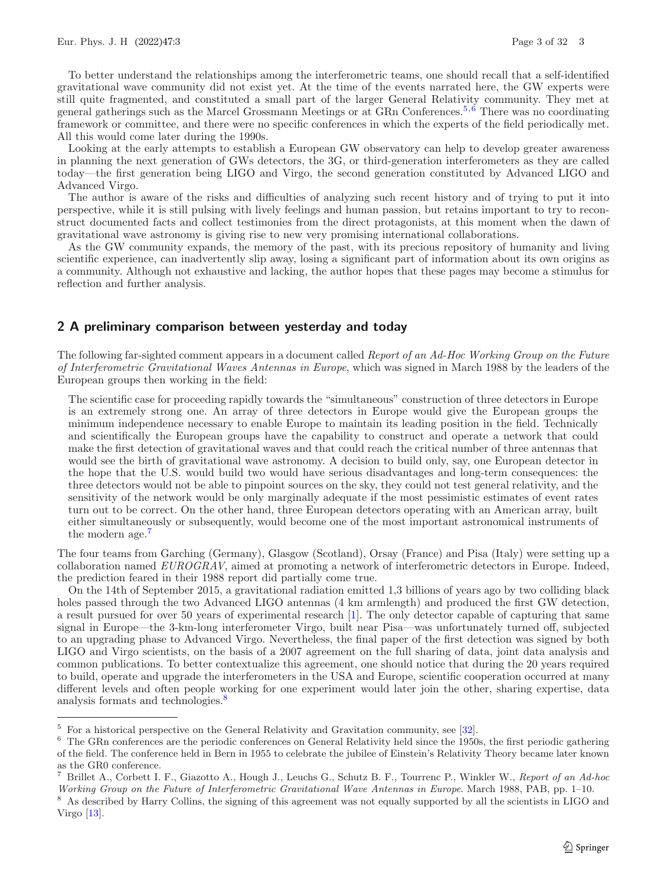To better understand the relationships among the interferometric teams, one should recall that a self-identified gravitational wave community did not exist yet. At the time of the events narrated here, the GW experts were still quite fragmented, and constituted a small part of the larger General Relativity community. They met at general gatherings such as the Marcel Grossmann Meetings or at GRn Conferences.[5](#page-2-0)*,*[6](#page-2-1) There was no coordinating framework or committee, and there were no specific conferences in which the experts of the field periodically met. All this would come later during the 1990s.

Looking at the early attempts to establish a European GW observatory can help to develop greater awareness in planning the next generation of GWs detectors, the 3G, or third-generation interferometers as they are called today—the first generation being LIGO and Virgo, the second generation constituted by Advanced LIGO and Advanced Virgo.

The author is aware of the risks and difficulties of analyzing such recent history and of trying to put it into perspective, while it is still pulsing with lively feelings and human passion, but retains important to try to reconstruct documented facts and collect testimonies from the direct protagonists, at this moment when the dawn of gravitational wave astronomy is giving rise to new very promising international collaborations.

As the GW community expands, the memory of the past, with its precious repository of humanity and living scientific experience, can inadvertently slip away, losing a significant part of information about its own origins as a community. Although not exhaustive and lacking, the author hopes that these pages may become a stimulus for reflection and further analysis.

#### **2 A preliminary comparison between yesterday and today**

The following far-sighted comment appears in a document called *Report of an Ad-Hoc Working Group on the Future of Interferometric Gravitational Waves Antennas in Europe*, which was signed in March 1988 by the leaders of the European groups then working in the field:

The scientific case for proceeding rapidly towards the "simultaneous" construction of three detectors in Europe is an extremely strong one. An array of three detectors in Europe would give the European groups the minimum independence necessary to enable Europe to maintain its leading position in the field. Technically and scientifically the European groups have the capability to construct and operate a network that could make the first detection of gravitational waves and that could reach the critical number of three antennas that would see the birth of gravitational wave astronomy. A decision to build only, say, one European detector in the hope that the U.S. would build two would have serious disadvantages and long-term consequences: the three detectors would not be able to pinpoint sources on the sky, they could not test general relativity, and the sensitivity of the network would be only marginally adequate if the most pessimistic estimates of event rates turn out to be correct. On the other hand, three European detectors operating with an American array, built either simultaneously or subsequently, would become one of the most important astronomical instruments of the modern age.<sup>[7](#page-2-2)</sup>

The four teams from Garching (Germany), Glasgow (Scotland), Orsay (France) and Pisa (Italy) were setting up a collaboration named *EUROGRAV*, aimed at promoting a network of interferometric detectors in Europe. Indeed, the prediction feared in their 1988 report did partially come true.

On the 14th of September 2015, a gravitational radiation emitted 1,3 billions of years ago by two colliding black holes passed through the two Advanced LIGO antennas (4 km armlength) and produced the first GW detection, a result pursued for over 50 years of experimental research [\[1](#page-28-0)]. The only detector capable of capturing that same signal in Europe—the 3-km-long interferometer Virgo, built near Pisa—was unfortunately turned off, subjected to an upgrading phase to Advanced Virgo. Nevertheless, the final paper of the first detection was signed by both LIGO and Virgo scientists, on the basis of a 2007 agreement on the full sharing of data, joint data analysis and common publications. To better contextualize this agreement, one should notice that during the 20 years required to build, operate and upgrade the interferometers in the USA and Europe, scientific cooperation occurred at many different levels and often people working for one experiment would later join the other, sharing expertise, data analysis formats and technologies.<sup>[8](#page-2-3)</sup>

<span id="page-2-0"></span> $5$  For a historical perspective on the General Relativity and Gravitation community, see [\[32](#page-30-1)].

<span id="page-2-1"></span> $6$  The GRn conferences are the periodic conferences on General Relativity held since the 1950s, the first periodic gathering of the field. The conference held in Bern in 1955 to celebrate the jubilee of Einstein's Relativity Theory became later known as the GR0 conference.

<span id="page-2-2"></span><sup>7</sup> Brillet A., Corbett I. F., Giazotto A., Hough J., Leuchs G., Schutz B. F., Tourrenc P., Winkler W., *Report of an Ad-hoc Working Group on the Future of Interferometric Gravitational Wave Antennas in Europe*. March 1988, PAB, pp. 1–10.

<span id="page-2-3"></span><sup>&</sup>lt;sup>8</sup> As described by Harry Collins, the signing of this agreement was not equally supported by all the scientists in LIGO and Virgo  $[13]$  $[13]$ .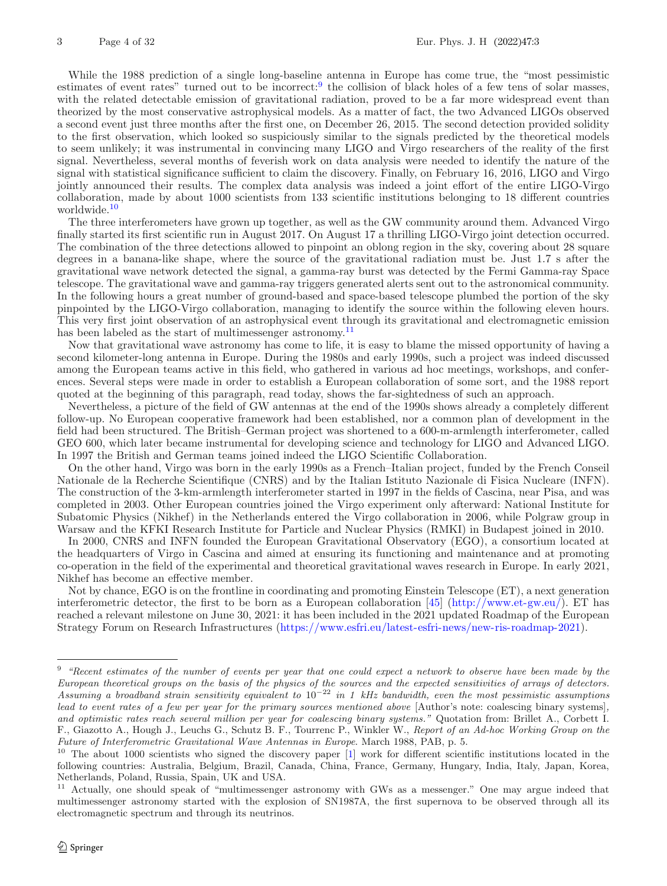While the 1988 prediction of a single long-baseline antenna in Europe has come true, the "most pessimistic estimates of event rates" turned out to be incorrect:<sup>[9](#page-3-0)</sup> the collision of black holes of a few tens of solar masses, with the related detectable emission of gravitational radiation, proved to be a far more widespread event than theorized by the most conservative astrophysical models. As a matter of fact, the two Advanced LIGOs observed a second event just three months after the first one, on December 26, 2015. The second detection provided solidity to the first observation, which looked so suspiciously similar to the signals predicted by the theoretical models to seem unlikely; it was instrumental in convincing many LIGO and Virgo researchers of the reality of the first signal. Nevertheless, several months of feverish work on data analysis were needed to identify the nature of the signal with statistical significance sufficient to claim the discovery. Finally, on February 16, 2016, LIGO and Virgo jointly announced their results. The complex data analysis was indeed a joint effort of the entire LIGO-Virgo collaboration, made by about 1000 scientists from 133 scientific institutions belonging to 18 different countries worldwide.<sup>[10](#page-3-1)</sup>

The three interferometers have grown up together, as well as the GW community around them. Advanced Virgo finally started its first scientific run in August 2017. On August 17 a thrilling LIGO-Virgo joint detection occurred. The combination of the three detections allowed to pinpoint an oblong region in the sky, covering about 28 square degrees in a banana-like shape, where the source of the gravitational radiation must be. Just 1.7 s after the gravitational wave network detected the signal, a gamma-ray burst was detected by the Fermi Gamma-ray Space telescope. The gravitational wave and gamma-ray triggers generated alerts sent out to the astronomical community. In the following hours a great number of ground-based and space-based telescope plumbed the portion of the sky pinpointed by the LIGO-Virgo collaboration, managing to identify the source within the following eleven hours. This very first joint observation of an astrophysical event through its gravitational and electromagnetic emission has been labeled as the start of multimessenger astronomy.<sup>[11](#page-3-2)</sup>

Now that gravitational wave astronomy has come to life, it is easy to blame the missed opportunity of having a second kilometer-long antenna in Europe. During the 1980s and early 1990s, such a project was indeed discussed among the European teams active in this field, who gathered in various ad hoc meetings, workshops, and conferences. Several steps were made in order to establish a European collaboration of some sort, and the 1988 report quoted at the beginning of this paragraph, read today, shows the far-sightedness of such an approach.

Nevertheless, a picture of the field of GW antennas at the end of the 1990s shows already a completely different follow-up. No European cooperative framework had been established, nor a common plan of development in the field had been structured. The British–German project was shortened to a 600-m-armlength interferometer, called GEO 600, which later became instrumental for developing science and technology for LIGO and Advanced LIGO. In 1997 the British and German teams joined indeed the LIGO Scientific Collaboration.

On the other hand, Virgo was born in the early 1990s as a French–Italian project, funded by the French Conseil Nationale de la Recherche Scientifique (CNRS) and by the Italian Istituto Nazionale di Fisica Nucleare (INFN). The construction of the 3-km-armlength interferometer started in 1997 in the fields of Cascina, near Pisa, and was completed in 2003. Other European countries joined the Virgo experiment only afterward: National Institute for Subatomic Physics (Nikhef) in the Netherlands entered the Virgo collaboration in 2006, while Polgraw group in Warsaw and the KFKI Research Institute for Particle and Nuclear Physics (RMKI) in Budapest joined in 2010.

In 2000, CNRS and INFN founded the European Gravitational Observatory (EGO), a consortium located at the headquarters of Virgo in Cascina and aimed at ensuring its functioning and maintenance and at promoting co-operation in the field of the experimental and theoretical gravitational waves research in Europe. In early 2021, Nikhef has become an effective member.

Not by chance, EGO is on the frontline in coordinating and promoting Einstein Telescope (ET), a next generation interferometric detector, the first to be born as a European collaboration [\[45\]](#page-30-2) [\(http://www.et-gw.eu/\)](http://www.et-gw.eu/). ET has reached a relevant milestone on June 30, 2021: it has been included in the 2021 updated Roadmap of the European Strategy Forum on Research Infrastructures [\(https://www.esfri.eu/latest-esfri-news/new-ris-roadmap-2021\)](https://www.esfri.eu/latest-esfri-news/new-ris-roadmap-2021).

<span id="page-3-0"></span><sup>9</sup> *"Recent estimates of the number of events per year that one could expect a network to observe have been made by the European theoretical groups on the basis of the physics of the sources and the expected sensitivities of arrays of detectors. Assuming a broadband strain sensitivity equivalent to* 10*−*<sup>22</sup> *in 1 kHz bandwidth, even the most pessimistic assumptions lead to event rates of a few per year for the primary sources mentioned above* [Author's note: coalescing binary systems]*, and optimistic rates reach several million per year for coalescing binary systems."* Quotation from: Brillet A., Corbett I. F., Giazotto A., Hough J., Leuchs G., Schutz B. F., Tourrenc P., Winkler W., *Report of an Ad-hoc Working Group on the Future of Interferometric Gravitational Wave Antennas in Europe*. March 1988, PAB, p. 5.

<span id="page-3-1"></span><sup>&</sup>lt;sup>10</sup> The about 1000 scientists who signed the discovery paper [\[1](#page-28-0)] work for different scientific institutions located in the following countries: Australia, Belgium, Brazil, Canada, China, France, Germany, Hungary, India, Italy, Japan, Korea, Netherlands, Poland, Russia, Spain, UK and USA.

<span id="page-3-2"></span><sup>11</sup> Actually, one should speak of "multimessenger astronomy with GWs as a messenger." One may argue indeed that multimessenger astronomy started with the explosion of SN1987A, the first supernova to be observed through all its electromagnetic spectrum and through its neutrinos.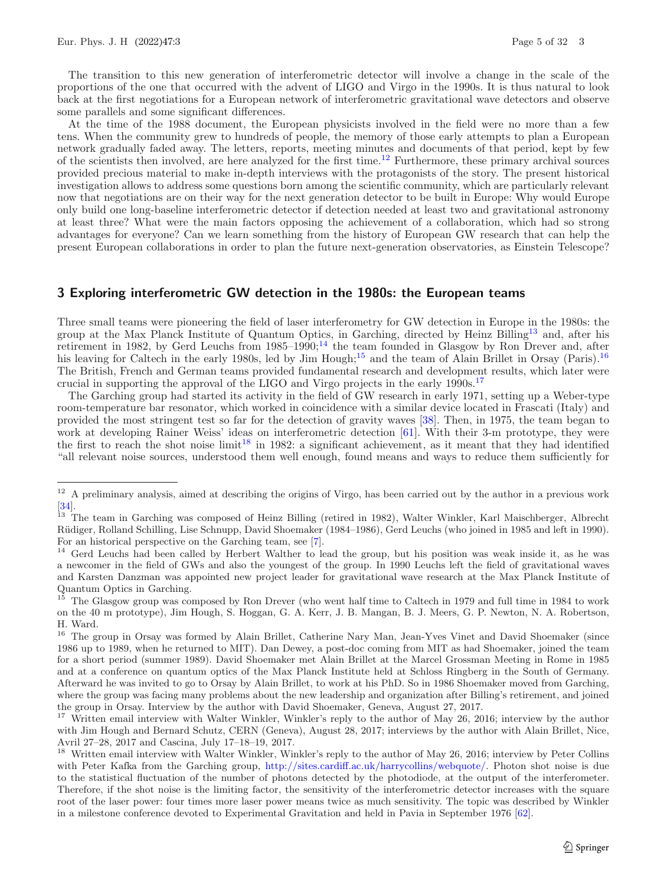The transition to this new generation of interferometric detector will involve a change in the scale of the proportions of the one that occurred with the advent of LIGO and Virgo in the 1990s. It is thus natural to look back at the first negotiations for a European network of interferometric gravitational wave detectors and observe some parallels and some significant differences.

At the time of the 1988 document, the European physicists involved in the field were no more than a few tens. When the community grew to hundreds of people, the memory of those early attempts to plan a European network gradually faded away. The letters, reports, meeting minutes and documents of that period, kept by few of the scientists then involved, are here analyzed for the first time.[12](#page-4-0) Furthermore, these primary archival sources provided precious material to make in-depth interviews with the protagonists of the story. The present historical investigation allows to address some questions born among the scientific community, which are particularly relevant now that negotiations are on their way for the next generation detector to be built in Europe: Why would Europe only build one long-baseline interferometric detector if detection needed at least two and gravitational astronomy at least three? What were the main factors opposing the achievement of a collaboration, which had so strong advantages for everyone? Can we learn something from the history of European GW research that can help the present European collaborations in order to plan the future next-generation observatories, as Einstein Telescope?

## **3 Exploring interferometric GW detection in the 1980s: the European teams**

Three small teams were pioneering the field of laser interferometry for GW detection in Europe in the 1980s: the group at the Max Planck Institute of Quantum Optics, in Garching, directed by Heinz Billing[13](#page-4-1) and, after his retirement in 1982, by Gerd Leuchs from  $1985-1990$ ;<sup>[14](#page-4-2)</sup> the team founded in Glasgow by Ron Drever and, after his leaving for Caltech in the early 1980s, led by Jim Hough;<sup>[15](#page-4-3)</sup> and the team of Alain Brillet in Orsay (Paris).<sup>[16](#page-4-4)</sup> The British, French and German teams provided fundamental research and development results, which later were crucial in supporting the approval of the LIGO and Virgo projects in the early 1990s.[17](#page-4-5)

The Garching group had started its activity in the field of GW research in early 1971, setting up a Weber-type room-temperature bar resonator, which worked in coincidence with a similar device located in Frascati (Italy) and provided the most stringent test so far for the detection of gravity waves [\[38](#page-30-3)]. Then, in 1975, the team began to work at developing Rainer Weiss' ideas on interferometric detection [\[61](#page-31-0)]. With their 3-m prototype, they were the first to reach the shot noise limit<sup>[18](#page-4-6)</sup> in 1982: a significant achievement, as it meant that they had identified "all relevant noise sources, understood them well enough, found means and ways to reduce them sufficiently for

<span id="page-4-0"></span> $12$  A preliminary analysis, aimed at describing the origins of Virgo, has been carried out by the author in a previous work [\[34\]](#page-30-4).

<span id="page-4-1"></span><sup>13</sup> The team in Garching was composed of Heinz Billing (retired in 1982), Walter Winkler, Karl Maischberger, Albrecht R¨udiger, Rolland Schilling, Lise Schnupp, David Shoemaker (1984–1986), Gerd Leuchs (who joined in 1985 and left in 1990). For an historical perspective on the Garching team, see [\[7\]](#page-28-1).

<span id="page-4-2"></span><sup>&</sup>lt;sup>14</sup> Gerd Leuchs had been called by Herbert Walther to lead the group, but his position was weak inside it, as he was a newcomer in the field of GWs and also the youngest of the group. In 1990 Leuchs left the field of gravitational waves and Karsten Danzman was appointed new project leader for gravitational wave research at the Max Planck Institute of Quantum Optics in Garching.

<span id="page-4-3"></span><sup>15</sup> The Glasgow group was composed by Ron Drever (who went half time to Caltech in 1979 and full time in 1984 to work on the 40 m prototype), Jim Hough, S. Hoggan, G. A. Kerr, J. B. Mangan, B. J. Meers, G. P. Newton, N. A. Robertson, H. Ward.

<span id="page-4-4"></span><sup>&</sup>lt;sup>16</sup> The group in Orsay was formed by Alain Brillet, Catherine Nary Man, Jean-Yves Vinet and David Shoemaker (since 1986 up to 1989, when he returned to MIT). Dan Dewey, a post-doc coming from MIT as had Shoemaker, joined the team for a short period (summer 1989). David Shoemaker met Alain Brillet at the Marcel Grossman Meeting in Rome in 1985 and at a conference on quantum optics of the Max Planck Institute held at Schloss Ringberg in the South of Germany. Afterward he was invited to go to Orsay by Alain Brillet, to work at his PhD. So in 1986 Shoemaker moved from Garching, where the group was facing many problems about the new leadership and organization after Billing's retirement, and joined the group in Orsay. Interview by the author with David Shoemaker, Geneva, August 27, 2017.

<span id="page-4-5"></span><sup>&</sup>lt;sup>17</sup> Written email interview with Walter Winkler, Winkler's reply to the author of May 26, 2016; interview by the author with Jim Hough and Bernard Schutz, CERN (Geneva), August 28, 2017; interviews by the author with Alain Brillet, Nice, Avril 27–28, 2017 and Cascina, July 17–18–19, 2017.

<span id="page-4-6"></span><sup>&</sup>lt;sup>18</sup> Written email interview with Walter Winkler, Winkler's reply to the author of May 26, 2016; interview by Peter Collins with Peter Kafka from the Garching group, [http://sites.cardiff.ac.uk/harrycollins/webquote/.](http://sites.cardiff.ac.uk/harrycollins/webquote/) Photon shot noise is due to the statistical fluctuation of the number of photons detected by the photodiode, at the output of the interferometer. Therefore, if the shot noise is the limiting factor, the sensitivity of the interferometric detector increases with the square root of the laser power: four times more laser power means twice as much sensitivity. The topic was described by Winkler in a milestone conference devoted to Experimental Gravitation and held in Pavia in September 1976 [\[62\]](#page-31-1).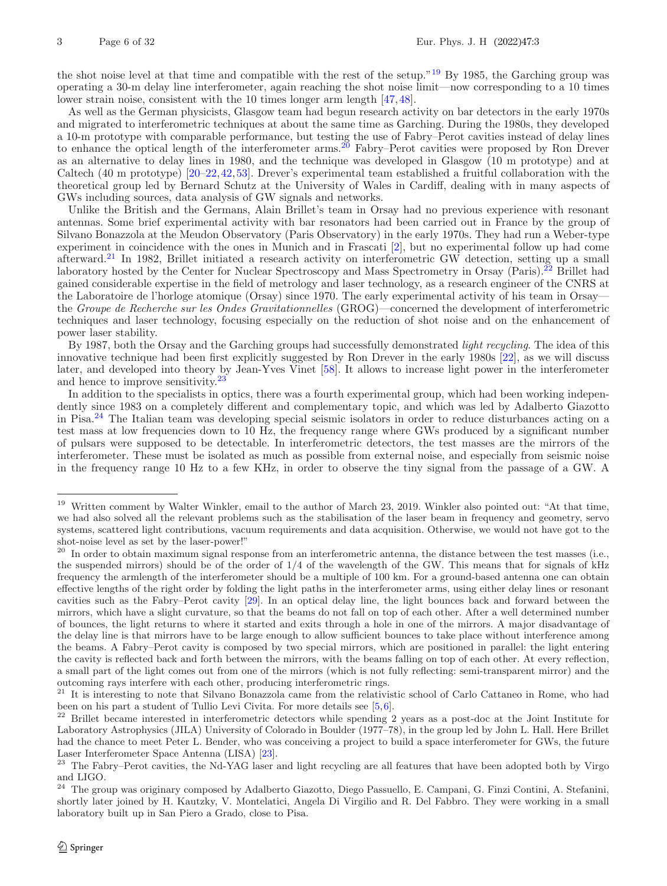the shot noise level at that time and compatible with the rest of the setup."[19](#page-5-0) By 1985, the Garching group was operating a 30-m delay line interferometer, again reaching the shot noise limit—now corresponding to a 10 times lower strain noise, consistent with the 10 times longer arm length [\[47,](#page-30-5)[48\]](#page-30-6).

As well as the German physicists, Glasgow team had begun research activity on bar detectors in the early 1970s and migrated to interferometric techniques at about the same time as Garching. During the 1980s, they developed a 10-m prototype with comparable performance, but testing the use of Fabry–Perot cavities instead of delay lines to enhance the optical length of the interferometer arms.<sup>[20](#page-5-1)</sup> Fabry–Perot cavities were proposed by Ron Drever as an alternative to delay lines in 1980, and the technique was developed in Glasgow (10 m prototype) and at Caltech (40 m prototype) [\[20](#page-29-1)[–22](#page-29-2)[,42](#page-30-7)[,53](#page-30-8)]. Drever's experimental team established a fruitful collaboration with the theoretical group led by Bernard Schutz at the University of Wales in Cardiff, dealing with in many aspects of GWs including sources, data analysis of GW signals and networks.

Unlike the British and the Germans, Alain Brillet's team in Orsay had no previous experience with resonant antennas. Some brief experimental activity with bar resonators had been carried out in France by the group of Silvano Bonazzola at the Meudon Observatory (Paris Observatory) in the early 1970s. They had run a Weber-type experiment in coincidence with the ones in Munich and in Frascati [\[2\]](#page-28-2), but no experimental follow up had come afterward.[21](#page-5-2) In 1982, Brillet initiated a research activity on interferometric GW detection, setting up a small laboratory hosted by the Center for Nuclear Spectroscopy and Mass Spectrometry in Orsay (Paris).<sup>[22](#page-5-3)</sup> Brillet had gained considerable expertise in the field of metrology and laser technology, as a research engineer of the CNRS at the Laboratoire de l'horloge atomique (Orsay) since 1970. The early experimental activity of his team in Orsay the *Groupe de Recherche sur les Ondes Gravitationnelles* (GROG)—concerned the development of interferometric techniques and laser technology, focusing especially on the reduction of shot noise and on the enhancement of power laser stability.

By 1987, both the Orsay and the Garching groups had successfully demonstrated *light recycling*. The idea of this innovative technique had been first explicitly suggested by Ron Drever in the early 1980s [\[22\]](#page-29-2), as we will discuss later, and developed into theory by Jean-Yves Vinet [\[58\]](#page-31-2). It allows to increase light power in the interferometer and hence to improve sensitivity.<sup>[23](#page-5-4)</sup>

In addition to the specialists in optics, there was a fourth experimental group, which had been working independently since 1983 on a completely different and complementary topic, and which was led by Adalberto Giazotto in Pisa.[24](#page-5-5) The Italian team was developing special seismic isolators in order to reduce disturbances acting on a test mass at low frequencies down to 10 Hz, the frequency range where GWs produced by a significant number of pulsars were supposed to be detectable. In interferometric detectors, the test masses are the mirrors of the interferometer. These must be isolated as much as possible from external noise, and especially from seismic noise in the frequency range 10 Hz to a few KHz, in order to observe the tiny signal from the passage of a GW. A

<span id="page-5-0"></span><sup>&</sup>lt;sup>19</sup> Written comment by Walter Winkler, email to the author of March 23, 2019. Winkler also pointed out: "At that time, we had also solved all the relevant problems such as the stabilisation of the laser beam in frequency and geometry, servo systems, scattered light contributions, vacuum requirements and data acquisition. Otherwise, we would not have got to the shot-noise level as set by the laser-power!"

<span id="page-5-1"></span> $20$  In order to obtain maximum signal response from an interferometric antenna, the distance between the test masses (i.e., the suspended mirrors) should be of the order of 1/4 of the wavelength of the GW. This means that for signals of kHz frequency the armlength of the interferometer should be a multiple of 100 km. For a ground-based antenna one can obtain effective lengths of the right order by folding the light paths in the interferometer arms, using either delay lines or resonant cavities such as the Fabry–Perot cavity [\[29](#page-29-3)]. In an optical delay line, the light bounces back and forward between the mirrors, which have a slight curvature, so that the beams do not fall on top of each other. After a well determined number of bounces, the light returns to where it started and exits through a hole in one of the mirrors. A major disadvantage of the delay line is that mirrors have to be large enough to allow sufficient bounces to take place without interference among the beams. A Fabry–Perot cavity is composed by two special mirrors, which are positioned in parallel: the light entering the cavity is reflected back and forth between the mirrors, with the beams falling on top of each other. At every reflection, a small part of the light comes out from one of the mirrors (which is not fully reflecting: semi-transparent mirror) and the outcoming rays interfere with each other, producing interferometric rings.

<span id="page-5-2"></span><sup>&</sup>lt;sup>21</sup> It is interesting to note that Silvano Bonazzola came from the relativistic school of Carlo Cattaneo in Rome, who had been on his part a student of Tullio Levi Civita. For more details see [\[5](#page-28-3),[6](#page-28-4)].<br><sup>22</sup> Prillot became interested in interferentiate detectors while spending 2

<span id="page-5-3"></span><sup>22</sup> Brillet became interested in interferometric detectors while spending 2 years as a post-doc at the Joint Institute for Laboratory Astrophysics (JILA) University of Colorado in Boulder (1977–78), in the group led by John L. Hall. Here Brillet had the chance to meet Peter L. Bender, who was conceiving a project to build a space interferometer for GWs, the future Laser Interferometer Space Antenna (LISA) [\[23](#page-29-4)].

<span id="page-5-4"></span><sup>&</sup>lt;sup>23</sup> The Fabry–Perot cavities, the Nd-YAG laser and light recycling are all features that have been adopted both by Virgo and LIGO.

<span id="page-5-5"></span><sup>&</sup>lt;sup>24</sup> The group was originary composed by Adalberto Giazotto, Diego Passuello, E. Campani, G. Finzi Contini, A. Stefanini, shortly later joined by H. Kautzky, V. Montelatici, Angela Di Virgilio and R. Del Fabbro. They were working in a small laboratory built up in San Piero a Grado, close to Pisa.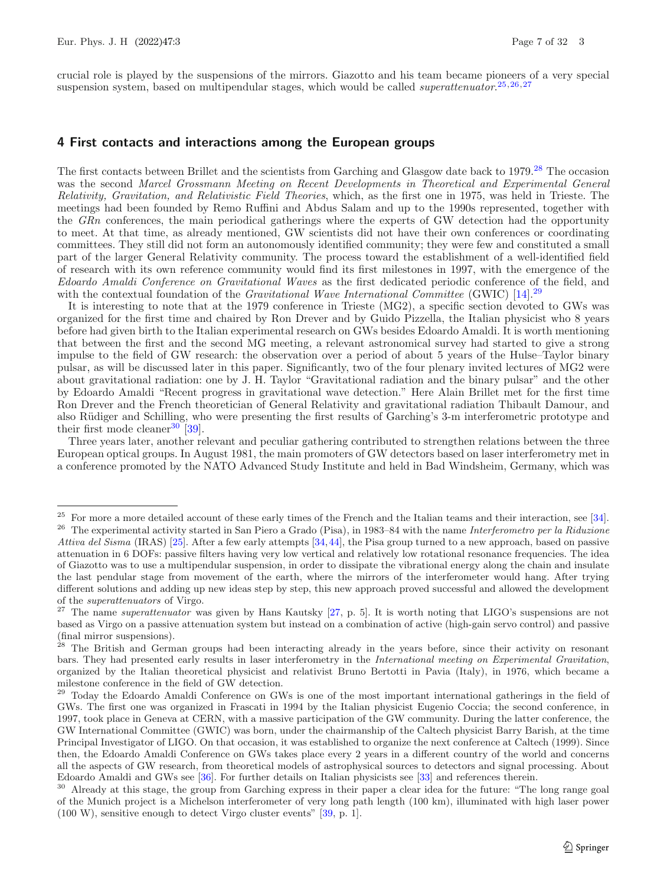crucial role is played by the suspensions of the mirrors. Giazotto and his team became pioneers of a very special suspension system, based on multipendular stages, which would be called *superattenuator*. [25](#page-6-0)*,*[26](#page-6-1)*,*[27](#page-6-2)

#### **4 First contacts and interactions among the European groups**

The first contacts between Brillet and the scientists from Garching and Glasgow date back to 1979.<sup>[28](#page-6-3)</sup> The occasion was the second *Marcel Grossmann Meeting on Recent Developments in Theoretical and Experimental General Relativity, Gravitation, and Relativistic Field Theories*, which, as the first one in 1975, was held in Trieste. The meetings had been founded by Remo Ruffini and Abdus Salam and up to the 1990s represented, together with the *GRn* conferences, the main periodical gatherings where the experts of GW detection had the opportunity to meet. At that time, as already mentioned, GW scientists did not have their own conferences or coordinating committees. They still did not form an autonomously identified community; they were few and constituted a small part of the larger General Relativity community. The process toward the establishment of a well-identified field of research with its own reference community would find its first milestones in 1997, with the emergence of the *Edoardo Amaldi Conference on Gravitational Waves* as the first dedicated periodic conference of the field, and with the contextual foundation of the *Gravitational Wave International Committee* (GWIC) [\[14\]](#page-29-5).<sup>[29](#page-6-4)</sup>

It is interesting to note that at the 1979 conference in Trieste (MG2), a specific section devoted to GWs was organized for the first time and chaired by Ron Drever and by Guido Pizzella, the Italian physicist who 8 years before had given birth to the Italian experimental research on GWs besides Edoardo Amaldi. It is worth mentioning that between the first and the second MG meeting, a relevant astronomical survey had started to give a strong impulse to the field of GW research: the observation over a period of about 5 years of the Hulse–Taylor binary pulsar, as will be discussed later in this paper. Significantly, two of the four plenary invited lectures of MG2 were about gravitational radiation: one by J. H. Taylor "Gravitational radiation and the binary pulsar" and the other by Edoardo Amaldi "Recent progress in gravitational wave detection." Here Alain Brillet met for the first time Ron Drever and the French theoretician of General Relativity and gravitational radiation Thibault Damour, and also Rüdiger and Schilling, who were presenting the first results of Garching's 3-m interferometric prototype and their first mode cleaner<sup>[30](#page-6-5)</sup> [\[39](#page-30-9)].

Three years later, another relevant and peculiar gathering contributed to strengthen relations between the three European optical groups. In August 1981, the main promoters of GW detectors based on laser interferometry met in a conference promoted by the NATO Advanced Study Institute and held in Bad Windsheim, Germany, which was

<span id="page-6-1"></span><span id="page-6-0"></span> $25$  For more a more detailed account of these early times of the French and the Italian teams and their interaction, see [\[34](#page-30-4)]. <sup>26</sup> The experimental activity started in San Piero a Grado (Pisa), in 1983–84 with the name *Interferometro per la Riduzione Attiva del Sisma* (IRAS) [\[25](#page-29-6)]. After a few early attempts [\[34](#page-30-4),[44](#page-30-10)], the Pisa group turned to a new approach, based on passive attenuation in 6 DOFs: passive filters having very low vertical and relatively low rotational resonance frequencies. The idea of Giazotto was to use a multipendular suspension, in order to dissipate the vibrational energy along the chain and insulate the last pendular stage from movement of the earth, where the mirrors of the interferometer would hang. After trying different solutions and adding up new ideas step by step, this new approach proved successful and allowed the development of the *superattenuators* of Virgo.

<span id="page-6-2"></span><sup>27</sup> The name *superattenuator* was given by Hans Kautsky [\[27,](#page-29-7) p. 5]. It is worth noting that LIGO's suspensions are not based as Virgo on a passive attenuation system but instead on a combination of active (high-gain servo control) and passive (final mirror suspensions).

<span id="page-6-3"></span><sup>&</sup>lt;sup>28</sup> The British and German groups had been interacting already in the years before, since their activity on resonant bars. They had presented early results in laser interferometry in the *International meeting on Experimental Gravitation*, organized by the Italian theoretical physicist and relativist Bruno Bertotti in Pavia (Italy), in 1976, which became a milestone conference in the field of GW detection.

<span id="page-6-4"></span><sup>&</sup>lt;sup>29</sup> Today the Edoardo Amaldi Conference on GWs is one of the most important international gatherings in the field of GWs. The first one was organized in Frascati in 1994 by the Italian physicist Eugenio Coccia; the second conference, in 1997, took place in Geneva at CERN, with a massive participation of the GW community. During the latter conference, the GW International Committee (GWIC) was born, under the chairmanship of the Caltech physicist Barry Barish, at the time Principal Investigator of LIGO. On that occasion, it was established to organize the next conference at Caltech (1999). Since then, the Edoardo Amaldi Conference on GWs takes place every 2 years in a different country of the world and concerns all the aspects of GW research, from theoretical models of astrophysical sources to detectors and signal processing. About Edoardo Amaldi and GWs see [\[36\]](#page-30-11). For further details on Italian physicists see [\[33](#page-30-12)] and references therein.

<span id="page-6-5"></span><sup>30</sup> Already at this stage, the group from Garching express in their paper a clear idea for the future: "The long range goal of the Munich project is a Michelson interferometer of very long path length (100 km), illuminated with high laser power (100 W), sensitive enough to detect Virgo cluster events" [\[39](#page-30-9), p. 1].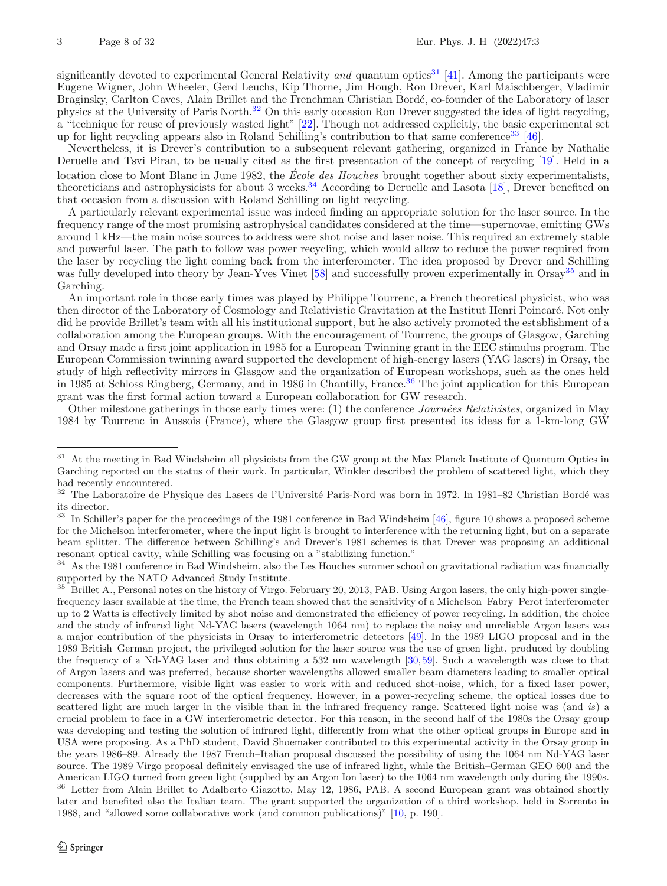significantly devoted to experimental General Relativity *and* quantum optics[31](#page-7-0) [\[41](#page-30-13)]. Among the participants were Eugene Wigner, John Wheeler, Gerd Leuchs, Kip Thorne, Jim Hough, Ron Drever, Karl Maischberger, Vladimir Braginsky, Carlton Caves, Alain Brillet and the Frenchman Christian Bordé, co-founder of the Laboratory of laser physics at the University of Paris North.[32](#page-7-1) On this early occasion Ron Drever suggested the idea of light recycling, a "technique for reuse of previously wasted light" [\[22](#page-29-2)]. Though not addressed explicitly, the basic experimental set up for light recycling appears also in Roland Schilling's contribution to that same conference<sup>[33](#page-7-2)</sup> [\[46](#page-30-14)].

Nevertheless, it is Drever's contribution to a subsequent relevant gathering, organized in France by Nathalie Deruelle and Tsvi Piran, to be usually cited as the first presentation of the concept of recycling [\[19\]](#page-29-8). Held in a location close to Mont Blanc in June 1982, the *École des Houches* brought together about sixty experimentalists, theoreticians and astrophysicists for about 3 weeks.<sup>[34](#page-7-3)</sup> According to Deruelle and Lasota [\[18\]](#page-29-9), Drever benefited on that occasion from a discussion with Roland Schilling on light recycling.

A particularly relevant experimental issue was indeed finding an appropriate solution for the laser source. In the frequency range of the most promising astrophysical candidates considered at the time—supernovae, emitting GWs around 1 kHz—the main noise sources to address were shot noise and laser noise. This required an extremely stable and powerful laser. The path to follow was power recycling, which would allow to reduce the power required from the laser by recycling the light coming back from the interferometer. The idea proposed by Drever and Schilling was fully developed into theory by Jean-Yves Vinet [\[58](#page-31-2)] and successfully proven experimentally in Orsay<sup>[35](#page-7-4)</sup> and in Garching.

An important role in those early times was played by Philippe Tourrenc, a French theoretical physicist, who was then director of the Laboratory of Cosmology and Relativistic Gravitation at the Institut Henri Poincaré. Not only did he provide Brillet's team with all his institutional support, but he also actively promoted the establishment of a collaboration among the European groups. With the encouragement of Tourrenc, the groups of Glasgow, Garching and Orsay made a first joint application in 1985 for a European Twinning grant in the EEC stimulus program. The European Commission twinning award supported the development of high-energy lasers (YAG lasers) in Orsay, the study of high reflectivity mirrors in Glasgow and the organization of European workshops, such as the ones held in 1985 at Schloss Ringberg, Germany, and in 1986 in Chantilly, France.<sup>[36](#page-7-5)</sup> The joint application for this European grant was the first formal action toward a European collaboration for GW research.

Other milestone gatherings in those early times were: (1) the conference *Journ´ees Relativistes*, organized in May 1984 by Tourrenc in Aussois (France), where the Glasgow group first presented its ideas for a 1-km-long GW

<span id="page-7-0"></span><sup>&</sup>lt;sup>31</sup> At the meeting in Bad Windsheim all physicists from the GW group at the Max Planck Institute of Quantum Optics in Garching reported on the status of their work. In particular, Winkler described the problem of scattered light, which they had recently encountered.

<span id="page-7-1"></span> $^{32}$  The Laboratoire de Physique des Lasers de l'Université Paris-Nord was born in 1972. In 1981–82 Christian Bordé was its director.

<span id="page-7-2"></span><sup>&</sup>lt;sup>33</sup> In Schiller's paper for the proceedings of the 1981 conference in Bad Windsheim [\[46](#page-30-14)], figure 10 shows a proposed scheme for the Michelson interferometer, where the input light is brought to interference with the returning light, but on a separate beam splitter. The difference between Schilling's and Drever's 1981 schemes is that Drever was proposing an additional resonant optical cavity, while Schilling was focusing on a "stabilizing function."

<span id="page-7-3"></span> $34$  As the 1981 conference in Bad Windsheim, also the Les Houches summer school on gravitational radiation was financially supported by the NATO Advanced Study Institute.

<span id="page-7-5"></span><span id="page-7-4"></span><sup>&</sup>lt;sup>35</sup> Brillet A., Personal notes on the history of Virgo. February 20, 2013, PAB. Using Argon lasers, the only high-power singlefrequency laser available at the time, the French team showed that the sensitivity of a Michelson–Fabry–Perot interferometer up to 2 Watts is effectively limited by shot noise and demonstrated the efficiency of power recycling. In addition, the choice and the study of infrared light Nd-YAG lasers (wavelength 1064 nm) to replace the noisy and unreliable Argon lasers was a major contribution of the physicists in Orsay to interferometric detectors [\[49](#page-30-15)]. In the 1989 LIGO proposal and in the 1989 British–German project, the privileged solution for the laser source was the use of green light, produced by doubling the frequency of a Nd-YAG laser and thus obtaining a 532 nm wavelength [\[30,](#page-29-10)[59](#page-31-3)]. Such a wavelength was close to that of Argon lasers and was preferred, because shorter wavelengths allowed smaller beam diameters leading to smaller optical components. Furthermore, visible light was easier to work with and reduced shot-noise, which, for a fixed laser power, decreases with the square root of the optical frequency. However, in a power-recycling scheme, the optical losses due to scattered light are much larger in the visible than in the infrared frequency range. Scattered light noise was (and *is*) a crucial problem to face in a GW interferometric detector. For this reason, in the second half of the 1980s the Orsay group was developing and testing the solution of infrared light, differently from what the other optical groups in Europe and in USA were proposing. As a PhD student, David Shoemaker contributed to this experimental activity in the Orsay group in the years 1986–89. Already the 1987 French–Italian proposal discussed the possibility of using the 1064 nm Nd-YAG laser source. The 1989 Virgo proposal definitely envisaged the use of infrared light, while the British–German GEO 600 and the American LIGO turned from green light (supplied by an Argon Ion laser) to the 1064 nm wavelength only during the 1990s. <sup>36</sup> Letter from Alain Brillet to Adalberto Giazotto, May 12, 1986, PAB. A second European grant was obtained shortly later and benefited also the Italian team. The grant supported the organization of a third workshop, held in Sorrento in 1988, and "allowed some collaborative work (and common publications)" [\[10,](#page-29-11) p. 190].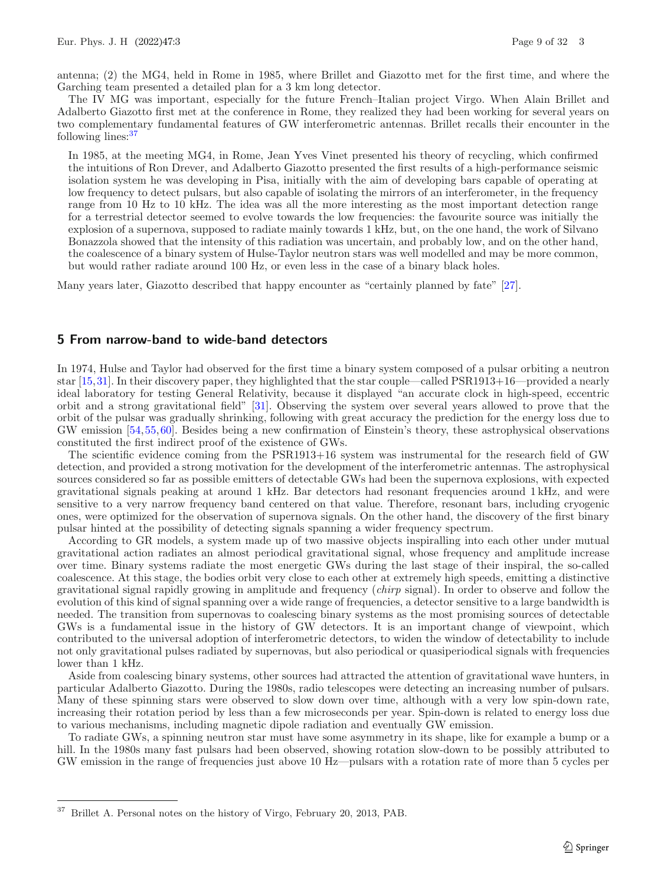antenna; (2) the MG4, held in Rome in 1985, where Brillet and Giazotto met for the first time, and where the Garching team presented a detailed plan for a 3 km long detector.

The IV MG was important, especially for the future French–Italian project Virgo. When Alain Brillet and Adalberto Giazotto first met at the conference in Rome, they realized they had been working for several years on two complementary fundamental features of GW interferometric antennas. Brillet recalls their encounter in the following lines:[37](#page-8-0)

In 1985, at the meeting MG4, in Rome, Jean Yves Vinet presented his theory of recycling, which confirmed the intuitions of Ron Drever, and Adalberto Giazotto presented the first results of a high-performance seismic isolation system he was developing in Pisa, initially with the aim of developing bars capable of operating at low frequency to detect pulsars, but also capable of isolating the mirrors of an interferometer, in the frequency range from 10 Hz to 10 kHz. The idea was all the more interesting as the most important detection range for a terrestrial detector seemed to evolve towards the low frequencies: the favourite source was initially the explosion of a supernova, supposed to radiate mainly towards 1 kHz, but, on the one hand, the work of Silvano Bonazzola showed that the intensity of this radiation was uncertain, and probably low, and on the other hand, the coalescence of a binary system of Hulse-Taylor neutron stars was well modelled and may be more common, but would rather radiate around 100 Hz, or even less in the case of a binary black holes.

Many years later, Giazotto described that happy encounter as "certainly planned by fate" [\[27](#page-29-7)].

## **5 From narrow-band to wide-band detectors**

In 1974, Hulse and Taylor had observed for the first time a binary system composed of a pulsar orbiting a neutron star [\[15,](#page-29-12)[31](#page-30-16)]. In their discovery paper, they highlighted that the star couple—called PSR1913+16—provided a nearly ideal laboratory for testing General Relativity, because it displayed "an accurate clock in high-speed, eccentric orbit and a strong gravitational field" [\[31](#page-30-16)]. Observing the system over several years allowed to prove that the orbit of the pulsar was gradually shrinking, following with great accuracy the prediction for the energy loss due to GW emission [\[54,](#page-30-17)[55,](#page-30-18)[60](#page-31-4)]. Besides being a new confirmation of Einstein's theory, these astrophysical observations constituted the first indirect proof of the existence of GWs.

The scientific evidence coming from the PSR1913+16 system was instrumental for the research field of GW detection, and provided a strong motivation for the development of the interferometric antennas. The astrophysical sources considered so far as possible emitters of detectable GWs had been the supernova explosions, with expected gravitational signals peaking at around 1 kHz. Bar detectors had resonant frequencies around 1 kHz, and were sensitive to a very narrow frequency band centered on that value. Therefore, resonant bars, including cryogenic ones, were optimized for the observation of supernova signals. On the other hand, the discovery of the first binary pulsar hinted at the possibility of detecting signals spanning a wider frequency spectrum.

According to GR models, a system made up of two massive objects inspiralling into each other under mutual gravitational action radiates an almost periodical gravitational signal, whose frequency and amplitude increase over time. Binary systems radiate the most energetic GWs during the last stage of their inspiral, the so-called coalescence. At this stage, the bodies orbit very close to each other at extremely high speeds, emitting a distinctive gravitational signal rapidly growing in amplitude and frequency (*chirp* signal). In order to observe and follow the evolution of this kind of signal spanning over a wide range of frequencies, a detector sensitive to a large bandwidth is needed. The transition from supernovas to coalescing binary systems as the most promising sources of detectable GWs is a fundamental issue in the history of GW detectors. It is an important change of viewpoint, which contributed to the universal adoption of interferometric detectors, to widen the window of detectability to include not only gravitational pulses radiated by supernovas, but also periodical or quasiperiodical signals with frequencies lower than 1 kHz.

Aside from coalescing binary systems, other sources had attracted the attention of gravitational wave hunters, in particular Adalberto Giazotto. During the 1980s, radio telescopes were detecting an increasing number of pulsars. Many of these spinning stars were observed to slow down over time, although with a very low spin-down rate, increasing their rotation period by less than a few microseconds per year. Spin-down is related to energy loss due to various mechanisms, including magnetic dipole radiation and eventually GW emission.

To radiate GWs, a spinning neutron star must have some asymmetry in its shape, like for example a bump or a hill. In the 1980s many fast pulsars had been observed, showing rotation slow-down to be possibly attributed to GW emission in the range of frequencies just above 10 Hz—pulsars with a rotation rate of more than 5 cycles per

<span id="page-8-0"></span><sup>37</sup> Brillet A. Personal notes on the history of Virgo, February 20, 2013, PAB.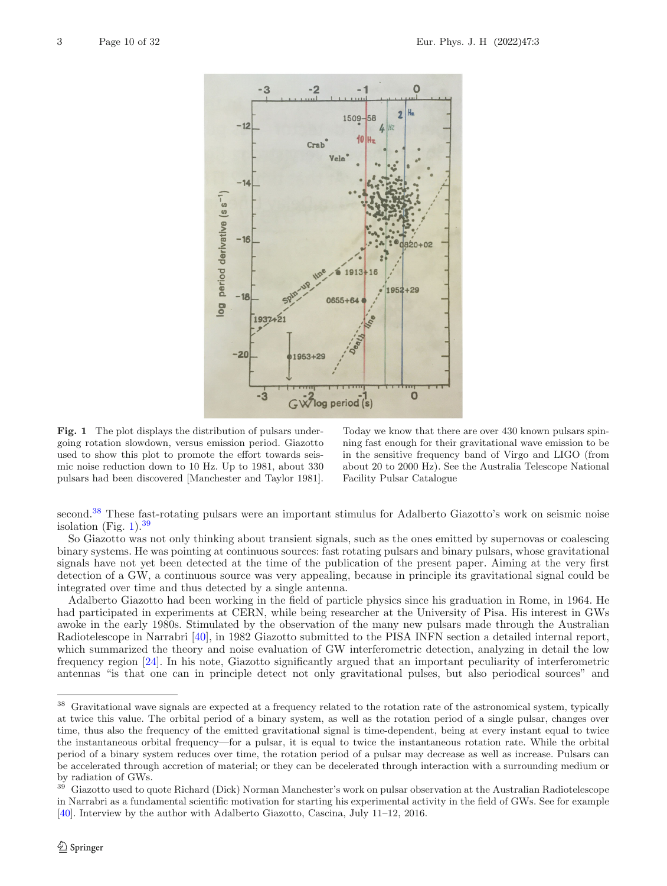

<span id="page-9-1"></span>**Fig. 1** The plot displays the distribution of pulsars undergoing rotation slowdown, versus emission period. Giazotto used to show this plot to promote the effort towards seismic noise reduction down to 10 Hz. Up to 1981, about 330 pulsars had been discovered [Manchester and Taylor 1981].

Today we know that there are over 430 known pulsars spinning fast enough for their gravitational wave emission to be in the sensitive frequency band of Virgo and LIGO (from about 20 to 2000 Hz). See the Australia Telescope National Facility Pulsar Catalogue

second.<sup>[38](#page-9-0)</sup> These fast-rotating pulsars were an important stimulus for Adalberto Giazotto's work on seismic noise isolation (Fig.  $1$ ).<sup>[39](#page-9-2)</sup>

So Giazotto was not only thinking about transient signals, such as the ones emitted by supernovas or coalescing binary systems. He was pointing at continuous sources: fast rotating pulsars and binary pulsars, whose gravitational signals have not yet been detected at the time of the publication of the present paper. Aiming at the very first detection of a GW, a continuous source was very appealing, because in principle its gravitational signal could be integrated over time and thus detected by a single antenna.

Adalberto Giazotto had been working in the field of particle physics since his graduation in Rome, in 1964. He had participated in experiments at CERN, while being researcher at the University of Pisa. His interest in GWs awoke in the early 1980s. Stimulated by the observation of the many new pulsars made through the Australian Radiotelescope in Narrabri [\[40\]](#page-30-19), in 1982 Giazotto submitted to the PISA INFN section a detailed internal report, which summarized the theory and noise evaluation of GW interferometric detection, analyzing in detail the low frequency region [\[24\]](#page-29-13). In his note, Giazotto significantly argued that an important peculiarity of interferometric antennas "is that one can in principle detect not only gravitational pulses, but also periodical sources" and

<span id="page-9-0"></span><sup>&</sup>lt;sup>38</sup> Gravitational wave signals are expected at a frequency related to the rotation rate of the astronomical system, typically at twice this value. The orbital period of a binary system, as well as the rotation period of a single pulsar, changes over time, thus also the frequency of the emitted gravitational signal is time-dependent, being at every instant equal to twice the instantaneous orbital frequency—for a pulsar, it is equal to twice the instantaneous rotation rate. While the orbital period of a binary system reduces over time, the rotation period of a pulsar may decrease as well as increase. Pulsars can be accelerated through accretion of material; or they can be decelerated through interaction with a surrounding medium or by radiation of GWs.<br> $^{39}$  Given the second to see

<span id="page-9-2"></span><sup>39</sup> Giazotto used to quote Richard (Dick) Norman Manchester's work on pulsar observation at the Australian Radiotelescope in Narrabri as a fundamental scientific motivation for starting his experimental activity in the field of GWs. See for example [\[40\]](#page-30-19). Interview by the author with Adalberto Giazotto, Cascina, July 11–12, 2016.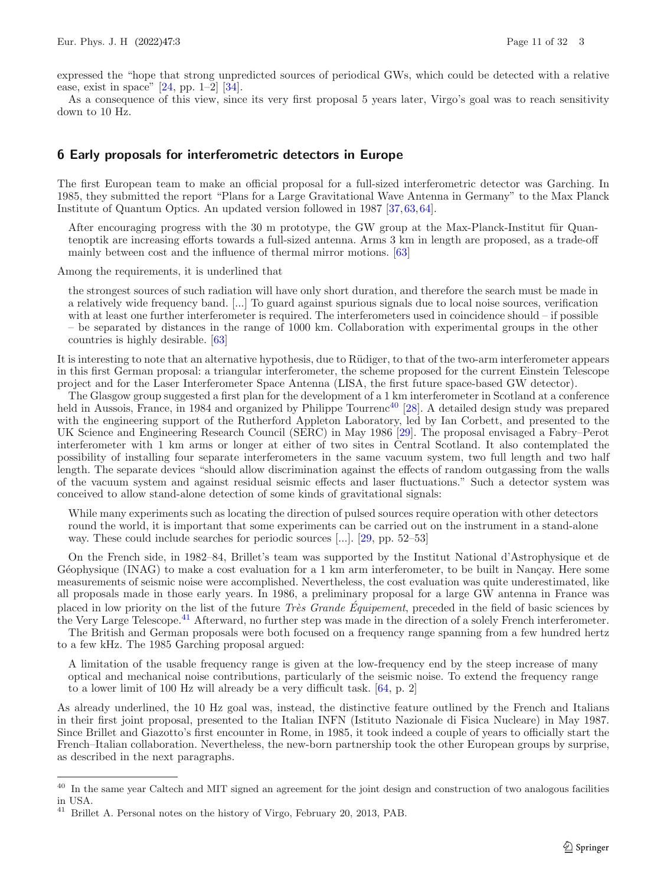expressed the "hope that strong unpredicted sources of periodical GWs, which could be detected with a relative ease, exist in space" [\[24](#page-29-13), pp. 1–2] [\[34](#page-30-4)].

As a consequence of this view, since its very first proposal 5 years later, Virgo's goal was to reach sensitivity down to 10 Hz.

## **6 Early proposals for interferometric detectors in Europe**

The first European team to make an official proposal for a full-sized interferometric detector was Garching. In 1985, they submitted the report "Plans for a Large Gravitational Wave Antenna in Germany" to the Max Planck Institute of Quantum Optics. An updated version followed in 1987 [\[37](#page-30-20)[,63](#page-31-5),[64\]](#page-31-6).

After encouraging progress with the  $30 \text{ m}$  prototype, the GW group at the Max-Planck-Institut für Quantenoptik are increasing efforts towards a full-sized antenna. Arms 3 km in length are proposed, as a trade-off mainly between cost and the influence of thermal mirror motions. [\[63\]](#page-31-5)

Among the requirements, it is underlined that

the strongest sources of such radiation will have only short duration, and therefore the search must be made in a relatively wide frequency band. [...] To guard against spurious signals due to local noise sources, verification with at least one further interferometer is required. The interferometers used in coincidence should – if possible – be separated by distances in the range of 1000 km. Collaboration with experimental groups in the other countries is highly desirable. [\[63\]](#page-31-5)

It is interesting to note that an alternative hypothesis, due to Rüdiger, to that of the two-arm interferometer appears in this first German proposal: a triangular interferometer, the scheme proposed for the current Einstein Telescope project and for the Laser Interferometer Space Antenna (LISA, the first future space-based GW detector).

The Glasgow group suggested a first plan for the development of a 1 km interferometer in Scotland at a conference held in Aussois, France, in 1984 and organized by Philippe Tourrenc<sup>[40](#page-10-0)</sup> [\[28\]](#page-29-14). A detailed design study was prepared with the engineering support of the Rutherford Appleton Laboratory, led by Ian Corbett, and presented to the UK Science and Engineering Research Council (SERC) in May 1986 [\[29\]](#page-29-3). The proposal envisaged a Fabry–Perot interferometer with 1 km arms or longer at either of two sites in Central Scotland. It also contemplated the possibility of installing four separate interferometers in the same vacuum system, two full length and two half length. The separate devices "should allow discrimination against the effects of random outgassing from the walls of the vacuum system and against residual seismic effects and laser fluctuations." Such a detector system was conceived to allow stand-alone detection of some kinds of gravitational signals:

While many experiments such as locating the direction of pulsed sources require operation with other detectors round the world, it is important that some experiments can be carried out on the instrument in a stand-alone way. These could include searches for periodic sources [...]. [\[29](#page-29-3), pp. 52–53]

On the French side, in 1982–84, Brillet's team was supported by the Institut National d'Astrophysique et de Géophysique (INAG) to make a cost evaluation for a 1 km arm interferometer, to be built in Nancay. Here some measurements of seismic noise were accomplished. Nevertheless, the cost evaluation was quite underestimated, like all proposals made in those early years. In 1986, a preliminary proposal for a large GW antenna in France was placed in low priority on the list of the future *Très Grande Équipement*, preceded in the field of basic sciences by the Very Large Telescope.[41](#page-10-1) Afterward, no further step was made in the direction of a solely French interferometer.

The British and German proposals were both focused on a frequency range spanning from a few hundred hertz to a few kHz. The 1985 Garching proposal argued:

A limitation of the usable frequency range is given at the low-frequency end by the steep increase of many optical and mechanical noise contributions, particularly of the seismic noise. To extend the frequency range to a lower limit of 100 Hz will already be a very difficult task. [\[64](#page-31-6), p. 2]

As already underlined, the 10 Hz goal was, instead, the distinctive feature outlined by the French and Italians in their first joint proposal, presented to the Italian INFN (Istituto Nazionale di Fisica Nucleare) in May 1987. Since Brillet and Giazotto's first encounter in Rome, in 1985, it took indeed a couple of years to officially start the French–Italian collaboration. Nevertheless, the new-born partnership took the other European groups by surprise, as described in the next paragraphs.

<span id="page-10-0"></span><sup>&</sup>lt;sup>40</sup> In the same year Caltech and MIT signed an agreement for the joint design and construction of two analogous facilities in USA.<br> $41\quad \text{D}$ <sub>will</sub>

<span id="page-10-1"></span>Brillet A. Personal notes on the history of Virgo, February 20, 2013, PAB.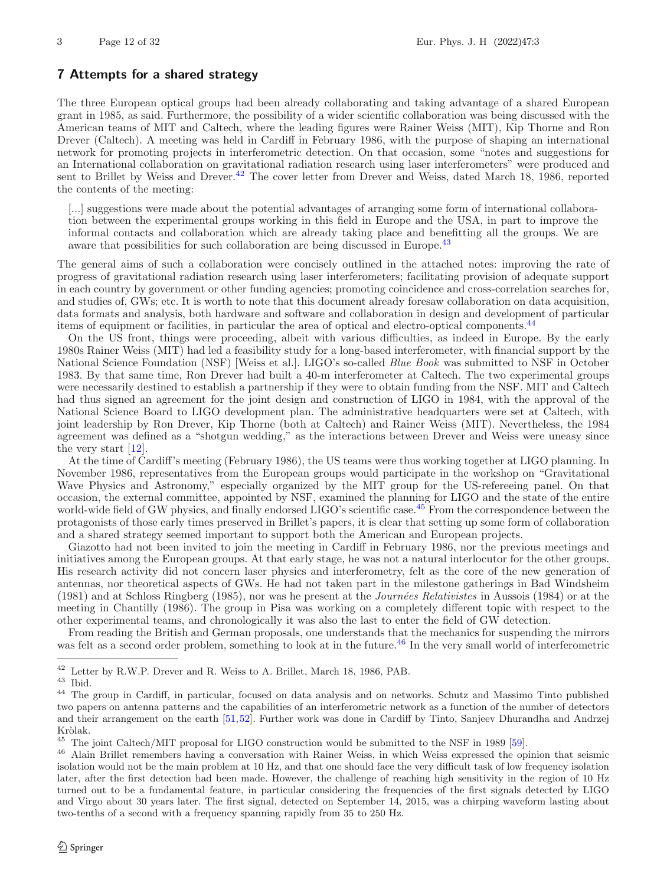# **7 Attempts for a shared strategy**

The three European optical groups had been already collaborating and taking advantage of a shared European grant in 1985, as said. Furthermore, the possibility of a wider scientific collaboration was being discussed with the American teams of MIT and Caltech, where the leading figures were Rainer Weiss (MIT), Kip Thorne and Ron Drever (Caltech). A meeting was held in Cardiff in February 1986, with the purpose of shaping an international network for promoting projects in interferometric detection. On that occasion, some "notes and suggestions for an International collaboration on gravitational radiation research using laser interferometers" were produced and sent to Brillet by Weiss and Drever.<sup>[42](#page-11-0)</sup> The cover letter from Drever and Weiss, dated March 18, 1986, reported the contents of the meeting:

[...] suggestions were made about the potential advantages of arranging some form of international collaboration between the experimental groups working in this field in Europe and the USA, in part to improve the informal contacts and collaboration which are already taking place and benefitting all the groups. We are aware that possibilities for such collaboration are being discussed in Europe.<sup>[43](#page-11-1)</sup>

The general aims of such a collaboration were concisely outlined in the attached notes: improving the rate of progress of gravitational radiation research using laser interferometers; facilitating provision of adequate support in each country by government or other funding agencies; promoting coincidence and cross-correlation searches for, and studies of, GWs; etc. It is worth to note that this document already foresaw collaboration on data acquisition, data formats and analysis, both hardware and software and collaboration in design and development of particular items of equipment or facilities, in particular the area of optical and electro-optical components.[44](#page-11-2)

On the US front, things were proceeding, albeit with various difficulties, as indeed in Europe. By the early 1980s Rainer Weiss (MIT) had led a feasibility study for a long-based interferometer, with financial support by the National Science Foundation (NSF) [Weiss et al.]. LIGO's so-called *Blue Book* was submitted to NSF in October 1983. By that same time, Ron Drever had built a 40-m interferometer at Caltech. The two experimental groups were necessarily destined to establish a partnership if they were to obtain funding from the NSF. MIT and Caltech had thus signed an agreement for the joint design and construction of LIGO in 1984, with the approval of the National Science Board to LIGO development plan. The administrative headquarters were set at Caltech, with joint leadership by Ron Drever, Kip Thorne (both at Caltech) and Rainer Weiss (MIT). Nevertheless, the 1984 agreement was defined as a "shotgun wedding," as the interactions between Drever and Weiss were uneasy since the very start [\[12\]](#page-29-15).

At the time of Cardiff's meeting (February 1986), the US teams were thus working together at LIGO planning. In November 1986, representatives from the European groups would participate in the workshop on "Gravitational Wave Physics and Astronomy," especially organized by the MIT group for the US-refereeing panel. On that occasion, the external committee, appointed by NSF, examined the planning for LIGO and the state of the entire world-wide field of GW physics, and finally endorsed LIGO's scientific case.<sup>[45](#page-11-3)</sup> From the correspondence between the protagonists of those early times preserved in Brillet's papers, it is clear that setting up some form of collaboration and a shared strategy seemed important to support both the American and European projects.

Giazotto had not been invited to join the meeting in Cardiff in February 1986, nor the previous meetings and initiatives among the European groups. At that early stage, he was not a natural interlocutor for the other groups. His research activity did not concern laser physics and interferometry, felt as the core of the new generation of antennas, nor theoretical aspects of GWs. He had not taken part in the milestone gatherings in Bad Windsheim (1981) and at Schloss Ringberg (1985), nor was he present at the *Journ´ees Relativistes* in Aussois (1984) or at the meeting in Chantilly (1986). The group in Pisa was working on a completely different topic with respect to the other experimental teams, and chronologically it was also the last to enter the field of GW detection.

From reading the British and German proposals, one understands that the mechanics for suspending the mirrors was felt as a second order problem, something to look at in the future.<sup>[46](#page-11-4)</sup> In the very small world of interferometric

<span id="page-11-0"></span><sup>42</sup> Letter by R.W.P. Drever and R. Weiss to A. Brillet, March 18, 1986, PAB.

<span id="page-11-1"></span> $^{\rm 43}$  Ibid.

<span id="page-11-2"></span><sup>&</sup>lt;sup>44</sup> The group in Cardiff, in particular, focused on data analysis and on networks. Schutz and Massimo Tinto published two papers on antenna patterns and the capabilities of an interferometric network as a function of the number of detectors and their arrangement on the earth [\[51,](#page-30-21)[52](#page-30-22)]. Further work was done in Cardiff by Tinto, Sanjeev Dhurandha and Andrzej Kròlak.

<span id="page-11-3"></span><sup>&</sup>lt;sup>45</sup> The joint Caltech/MIT proposal for LIGO construction would be submitted to the NSF in 1989 [\[59](#page-31-3)].

<span id="page-11-4"></span><sup>&</sup>lt;sup>46</sup> Alain Brillet remembers having a conversation with Rainer Weiss, in which Weiss expressed the opinion that seismic isolation would not be the main problem at 10 Hz, and that one should face the very difficult task of low frequency isolation later, after the first detection had been made. However, the challenge of reaching high sensitivity in the region of 10 Hz turned out to be a fundamental feature, in particular considering the frequencies of the first signals detected by LIGO and Virgo about 30 years later. The first signal, detected on September 14, 2015, was a chirping waveform lasting about two-tenths of a second with a frequency spanning rapidly from 35 to 250 Hz.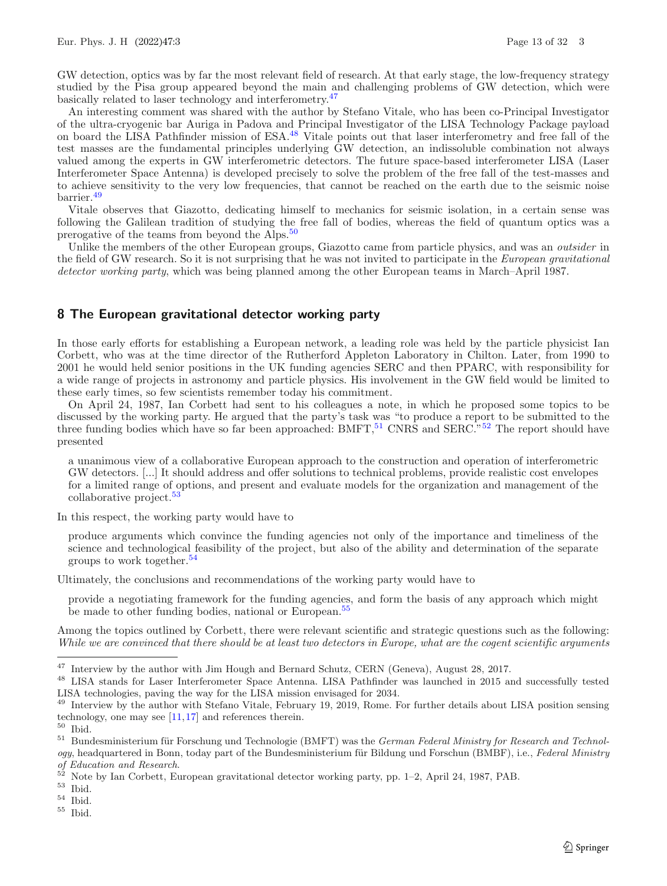GW detection, optics was by far the most relevant field of research. At that early stage, the low-frequency strategy studied by the Pisa group appeared beyond the main and challenging problems of GW detection, which were basically related to laser technology and interferometry.[47](#page-12-0)

An interesting comment was shared with the author by Stefano Vitale, who has been co-Principal Investigator of the ultra-cryogenic bar Auriga in Padova and Principal Investigator of the LISA Technology Package payload on board the LISA Pathfinder mission of ESA.[48](#page-12-1) Vitale points out that laser interferometry and free fall of the test masses are the fundamental principles underlying GW detection, an indissoluble combination not always valued among the experts in GW interferometric detectors. The future space-based interferometer LISA (Laser Interferometer Space Antenna) is developed precisely to solve the problem of the free fall of the test-masses and to achieve sensitivity to the very low frequencies, that cannot be reached on the earth due to the seismic noise barrier.[49](#page-12-2)

Vitale observes that Giazotto, dedicating himself to mechanics for seismic isolation, in a certain sense was following the Galilean tradition of studying the free fall of bodies, whereas the field of quantum optics was a prerogative of the teams from beyond the Alps.<sup>[50](#page-12-3)</sup>

Unlike the members of the other European groups, Giazotto came from particle physics, and was an *outsider* in the field of GW research. So it is not surprising that he was not invited to participate in the *European gravitational detector working party*, which was being planned among the other European teams in March–April 1987.

#### **8 The European gravitational detector working party**

In those early efforts for establishing a European network, a leading role was held by the particle physicist Ian Corbett, who was at the time director of the Rutherford Appleton Laboratory in Chilton. Later, from 1990 to 2001 he would held senior positions in the UK funding agencies SERC and then PPARC, with responsibility for a wide range of projects in astronomy and particle physics. His involvement in the GW field would be limited to these early times, so few scientists remember today his commitment.

On April 24, 1987, Ian Corbett had sent to his colleagues a note, in which he proposed some topics to be discussed by the working party. He argued that the party's task was "to produce a report to be submitted to the three funding bodies which have so far been approached:  $B\text{MFT}$ ,<sup>[51](#page-12-4)</sup> CNRS and SERC.<sup>"[52](#page-12-5)</sup> The report should have presented

a unanimous view of a collaborative European approach to the construction and operation of interferometric GW detectors. [...] It should address and offer solutions to technical problems, provide realistic cost envelopes for a limited range of options, and present and evaluate models for the organization and management of the collaborative project.<sup>[53](#page-12-6)</sup>

In this respect, the working party would have to

produce arguments which convince the funding agencies not only of the importance and timeliness of the science and technological feasibility of the project, but also of the ability and determination of the separate groups to work together.[54](#page-12-7)

Ultimately, the conclusions and recommendations of the working party would have to

provide a negotiating framework for the funding agencies, and form the basis of any approach which might be made to other funding bodies, national or European.<sup>[55](#page-12-8)</sup>

Among the topics outlined by Corbett, there were relevant scientific and strategic questions such as the following: *While we are convinced that there should be at least two detectors in Europe, what are the cogent scientific arguments*

<span id="page-12-8"></span><sup>55</sup> Ibid.

<span id="page-12-0"></span> $^{47}$  Interview by the author with Jim Hough and Bernard Schutz, CERN (Geneva), August 28, 2017.

<span id="page-12-1"></span><sup>48</sup> LISA stands for Laser Interferometer Space Antenna. LISA Pathfinder was launched in 2015 and successfully tested LISA technologies, paving the way for the LISA mission envisaged for 2034.

<span id="page-12-2"></span><sup>&</sup>lt;sup>49</sup> Interview by the author with Stefano Vitale, February 19, 2019, Rome. For further details about LISA position sensing technology, one may see  $[11,17]$  $[11,17]$  $[11,17]$  and references therein.

<span id="page-12-3"></span> $^{\rm 50}$  Ibid.

<span id="page-12-4"></span><sup>&</sup>lt;sup>51</sup> Bundesministerium für Forschung und Technologie (BMFT) was the *German Federal Ministry for Research and Technology*, headquartered in Bonn, today part of the Bundesministerium für Bildung und Forschun (BMBF), i.e., *Federal Ministry of Education and Research*.

<span id="page-12-5"></span> $5^2$  Note by Ian Corbett, European gravitational detector working party, pp. 1–2, April 24, 1987, PAB.

<span id="page-12-6"></span> $^{\rm 53}$  Ibid.

<span id="page-12-7"></span> $^{\rm 54}$  Ibid.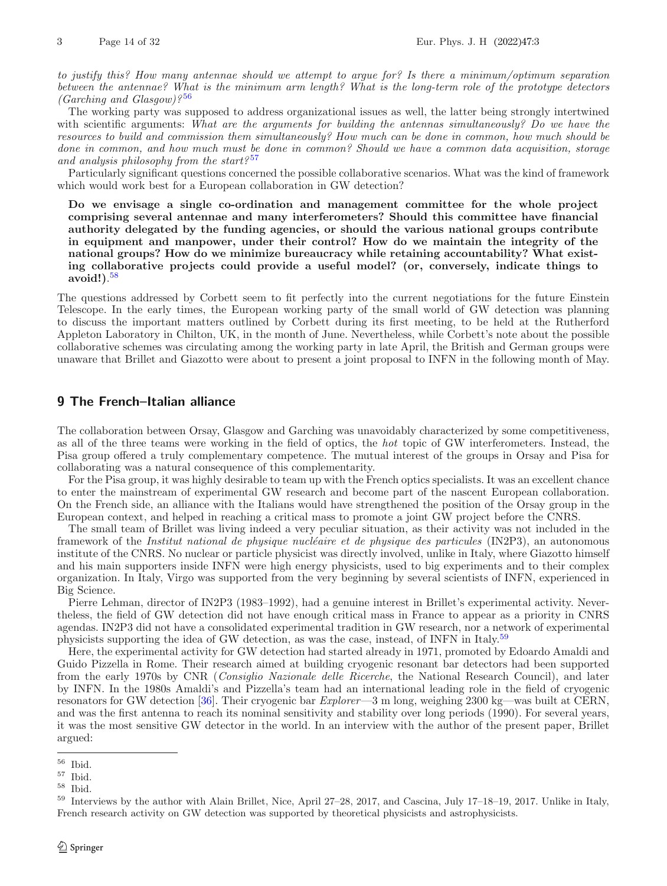*to justify this? How many antennae should we attempt to argue for? Is there a minimum/optimum separation between the antennae? What is the minimum arm length? What is the long-term role of the prototype detectors (Garching and Glasgow)?* [56](#page-13-0)

The working party was supposed to address organizational issues as well, the latter being strongly intertwined with scientific arguments: *What are the arguments for building the antennas simultaneously? Do we have the resources to build and commission them simultaneously? How much can be done in common, how much should be done in common, and how much must be done in common? Should we have a common data acquisition, storage and analysis philosophy from the start?* [57](#page-13-1)

Particularly significant questions concerned the possible collaborative scenarios. What was the kind of framework which would work best for a European collaboration in GW detection?

**Do we envisage a single co-ordination and management committee for the whole project comprising several antennae and many interferometers? Should this committee have financial authority delegated by the funding agencies, or should the various national groups contribute in equipment and manpower, under their control? How do we maintain the integrity of the national groups? How do we minimize bureaucracy while retaining accountability? What existing collaborative projects could provide a useful model? (or, conversely, indicate things to avoid!)**. [58](#page-13-2)

The questions addressed by Corbett seem to fit perfectly into the current negotiations for the future Einstein Telescope. In the early times, the European working party of the small world of GW detection was planning to discuss the important matters outlined by Corbett during its first meeting, to be held at the Rutherford Appleton Laboratory in Chilton, UK, in the month of June. Nevertheless, while Corbett's note about the possible collaborative schemes was circulating among the working party in late April, the British and German groups were unaware that Brillet and Giazotto were about to present a joint proposal to INFN in the following month of May.

## **9 The French–Italian alliance**

The collaboration between Orsay, Glasgow and Garching was unavoidably characterized by some competitiveness, as all of the three teams were working in the field of optics, the *hot* topic of GW interferometers. Instead, the Pisa group offered a truly complementary competence. The mutual interest of the groups in Orsay and Pisa for collaborating was a natural consequence of this complementarity.

For the Pisa group, it was highly desirable to team up with the French optics specialists. It was an excellent chance to enter the mainstream of experimental GW research and become part of the nascent European collaboration. On the French side, an alliance with the Italians would have strengthened the position of the Orsay group in the European context, and helped in reaching a critical mass to promote a joint GW project before the CNRS.

The small team of Brillet was living indeed a very peculiar situation, as their activity was not included in the framework of the *Institut national de physique nucléaire et de physique des particules* (IN2P3), an autonomous institute of the CNRS. No nuclear or particle physicist was directly involved, unlike in Italy, where Giazotto himself and his main supporters inside INFN were high energy physicists, used to big experiments and to their complex organization. In Italy, Virgo was supported from the very beginning by several scientists of INFN, experienced in Big Science.

Pierre Lehman, director of IN2P3 (1983–1992), had a genuine interest in Brillet's experimental activity. Nevertheless, the field of GW detection did not have enough critical mass in France to appear as a priority in CNRS agendas. IN2P3 did not have a consolidated experimental tradition in GW research, nor a network of experimental physicists supporting the idea of GW detection, as was the case, instead, of INFN in Italy.<sup>[59](#page-13-3)</sup>

Here, the experimental activity for GW detection had started already in 1971, promoted by Edoardo Amaldi and Guido Pizzella in Rome. Their research aimed at building cryogenic resonant bar detectors had been supported from the early 1970s by CNR (*Consiglio Nazionale delle Ricerche*, the National Research Council), and later by INFN. In the 1980s Amaldi's and Pizzella's team had an international leading role in the field of cryogenic resonators for GW detection [\[36](#page-30-11)]. Their cryogenic bar *Explorer*—3 m long, weighing 2300 kg—was built at CERN, and was the first antenna to reach its nominal sensitivity and stability over long periods (1990). For several years, it was the most sensitive GW detector in the world. In an interview with the author of the present paper, Brillet argued:

<span id="page-13-0"></span> $^{56}\,$  Ibid.

<span id="page-13-1"></span> $^{57}$  Ibid.

<span id="page-13-2"></span><sup>58</sup> Ibid.

<span id="page-13-3"></span><sup>59</sup> Interviews by the author with Alain Brillet, Nice, April 27–28, 2017, and Cascina, July 17–18–19, 2017. Unlike in Italy, French research activity on GW detection was supported by theoretical physicists and astrophysicists.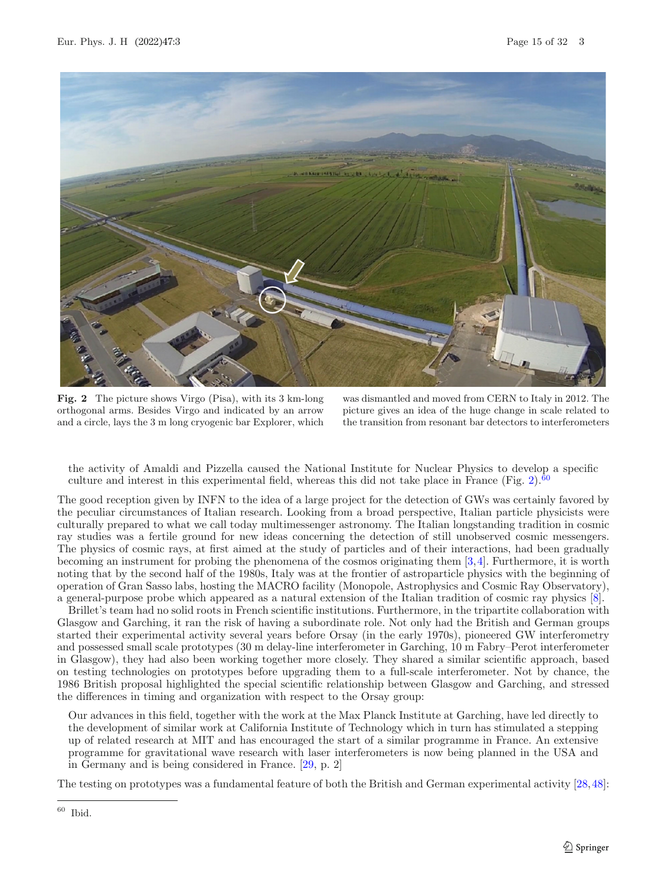

**Fig. 2** The picture shows Virgo (Pisa), with its 3 km-long orthogonal arms. Besides Virgo and indicated by an arrow and a circle, lays the 3 m long cryogenic bar Explorer, which

was dismantled and moved from CERN to Italy in 2012. The picture gives an idea of the huge change in scale related to the transition from resonant bar detectors to interferometers

<span id="page-14-0"></span>the activity of Amaldi and Pizzella caused the National Institute for Nuclear Physics to develop a specific culture and interest in this experimental field, whereas this did not take place in France (Fig. [2\)](#page-14-0).<sup>[60](#page-14-1)</sup>

The good reception given by INFN to the idea of a large project for the detection of GWs was certainly favored by the peculiar circumstances of Italian research. Looking from a broad perspective, Italian particle physicists were culturally prepared to what we call today multimessenger astronomy. The Italian longstanding tradition in cosmic ray studies was a fertile ground for new ideas concerning the detection of still unobserved cosmic messengers. The physics of cosmic rays, at first aimed at the study of particles and of their interactions, had been gradually becoming an instrument for probing the phenomena of the cosmos originating them [\[3,](#page-28-5)[4](#page-28-6)]. Furthermore, it is worth noting that by the second half of the 1980s, Italy was at the frontier of astroparticle physics with the beginning of operation of Gran Sasso labs, hosting the MACRO facility (Monopole, Astrophysics and Cosmic Ray Observatory), a general-purpose probe which appeared as a natural extension of the Italian tradition of cosmic ray physics [\[8\]](#page-28-7).

Brillet's team had no solid roots in French scientific institutions. Furthermore, in the tripartite collaboration with Glasgow and Garching, it ran the risk of having a subordinate role. Not only had the British and German groups started their experimental activity several years before Orsay (in the early 1970s), pioneered GW interferometry and possessed small scale prototypes (30 m delay-line interferometer in Garching, 10 m Fabry–Perot interferometer in Glasgow), they had also been working together more closely. They shared a similar scientific approach, based on testing technologies on prototypes before upgrading them to a full-scale interferometer. Not by chance, the 1986 British proposal highlighted the special scientific relationship between Glasgow and Garching, and stressed the differences in timing and organization with respect to the Orsay group:

Our advances in this field, together with the work at the Max Planck Institute at Garching, have led directly to the development of similar work at California Institute of Technology which in turn has stimulated a stepping up of related research at MIT and has encouraged the start of a similar programme in France. An extensive programme for gravitational wave research with laser interferometers is now being planned in the USA and in Germany and is being considered in France. [\[29](#page-29-3), p. 2]

The testing on prototypes was a fundamental feature of both the British and German experimental activity [\[28](#page-29-14),[48\]](#page-30-6):

<span id="page-14-1"></span> $60$  Ibid.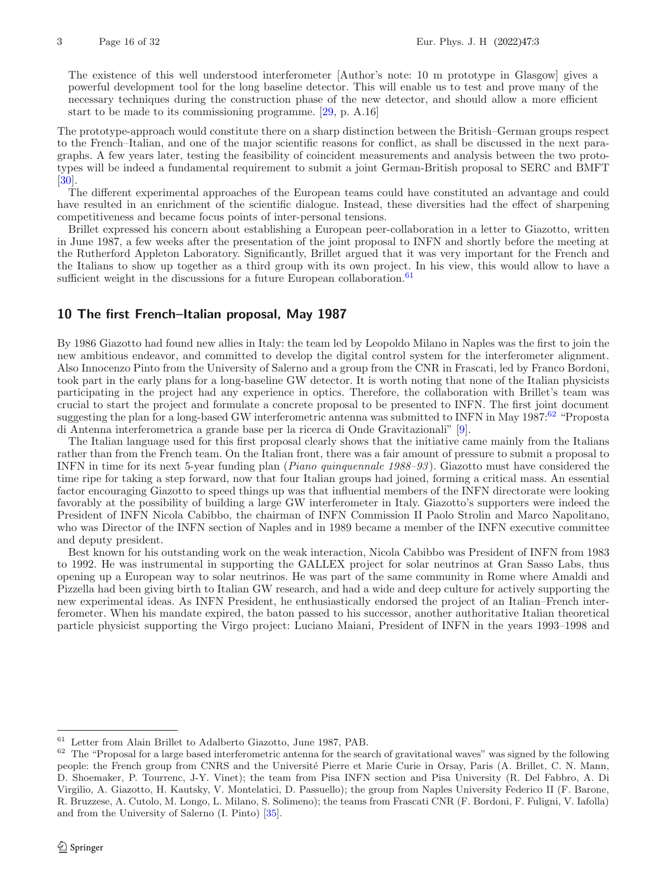The existence of this well understood interferometer [Author's note: 10 m prototype in Glasgow] gives a powerful development tool for the long baseline detector. This will enable us to test and prove many of the necessary techniques during the construction phase of the new detector, and should allow a more efficient start to be made to its commissioning programme. [\[29,](#page-29-3) p. A.16]

The prototype-approach would constitute there on a sharp distinction between the British–German groups respect to the French–Italian, and one of the major scientific reasons for conflict, as shall be discussed in the next paragraphs. A few years later, testing the feasibility of coincident measurements and analysis between the two prototypes will be indeed a fundamental requirement to submit a joint German-British proposal to SERC and BMFT [\[30\]](#page-29-10).

The different experimental approaches of the European teams could have constituted an advantage and could have resulted in an enrichment of the scientific dialogue. Instead, these diversities had the effect of sharpening competitiveness and became focus points of inter-personal tensions.

Brillet expressed his concern about establishing a European peer-collaboration in a letter to Giazotto, written in June 1987, a few weeks after the presentation of the joint proposal to INFN and shortly before the meeting at the Rutherford Appleton Laboratory. Significantly, Brillet argued that it was very important for the French and the Italians to show up together as a third group with its own project. In his view, this would allow to have a sufficient weight in the discussions for a future European collaboration.<sup>[61](#page-15-0)</sup>

# **10 The first French–Italian proposal, May 1987**

By 1986 Giazotto had found new allies in Italy: the team led by Leopoldo Milano in Naples was the first to join the new ambitious endeavor, and committed to develop the digital control system for the interferometer alignment. Also Innocenzo Pinto from the University of Salerno and a group from the CNR in Frascati, led by Franco Bordoni, took part in the early plans for a long-baseline GW detector. It is worth noting that none of the Italian physicists participating in the project had any experience in optics. Therefore, the collaboration with Brillet's team was crucial to start the project and formulate a concrete proposal to be presented to INFN. The first joint document suggesting the plan for a long-based GW interferometric antenna was submitted to INFN in May 1987:<sup>[62](#page-15-1)</sup> "Proposta di Antenna interferometrica a grande base per la ricerca di Onde Gravitazionali" [\[9](#page-28-8)].

The Italian language used for this first proposal clearly shows that the initiative came mainly from the Italians rather than from the French team. On the Italian front, there was a fair amount of pressure to submit a proposal to INFN in time for its next 5-year funding plan (*Piano quinquennale 1988–93* ). Giazotto must have considered the time ripe for taking a step forward, now that four Italian groups had joined, forming a critical mass. An essential factor encouraging Giazotto to speed things up was that influential members of the INFN directorate were looking favorably at the possibility of building a large GW interferometer in Italy. Giazotto's supporters were indeed the President of INFN Nicola Cabibbo, the chairman of INFN Commission II Paolo Strolin and Marco Napolitano, who was Director of the INFN section of Naples and in 1989 became a member of the INFN executive committee and deputy president.

Best known for his outstanding work on the weak interaction, Nicola Cabibbo was President of INFN from 1983 to 1992. He was instrumental in supporting the GALLEX project for solar neutrinos at Gran Sasso Labs, thus opening up a European way to solar neutrinos. He was part of the same community in Rome where Amaldi and Pizzella had been giving birth to Italian GW research, and had a wide and deep culture for actively supporting the new experimental ideas. As INFN President, he enthusiastically endorsed the project of an Italian–French interferometer. When his mandate expired, the baton passed to his successor, another authoritative Italian theoretical particle physicist supporting the Virgo project: Luciano Maiani, President of INFN in the years 1993–1998 and

<span id="page-15-0"></span><sup>61</sup> Letter from Alain Brillet to Adalberto Giazotto, June 1987, PAB.

<span id="page-15-1"></span> $62$  The "Proposal for a large based interferometric antenna for the search of gravitational waves" was signed by the following people: the French group from CNRS and the Université Pierre et Marie Curie in Orsay, Paris (A. Brillet, C. N. Mann, D. Shoemaker, P. Tourrenc, J-Y. Vinet); the team from Pisa INFN section and Pisa University (R. Del Fabbro, A. Di Virgilio, A. Giazotto, H. Kautsky, V. Montelatici, D. Passuello); the group from Naples University Federico II (F. Barone, R. Bruzzese, A. Cutolo, M. Longo, L. Milano, S. Solimeno); the teams from Frascati CNR (F. Bordoni, F. Fuligni, V. Iafolla) and from the University of Salerno (I. Pinto) [\[35](#page-30-23)].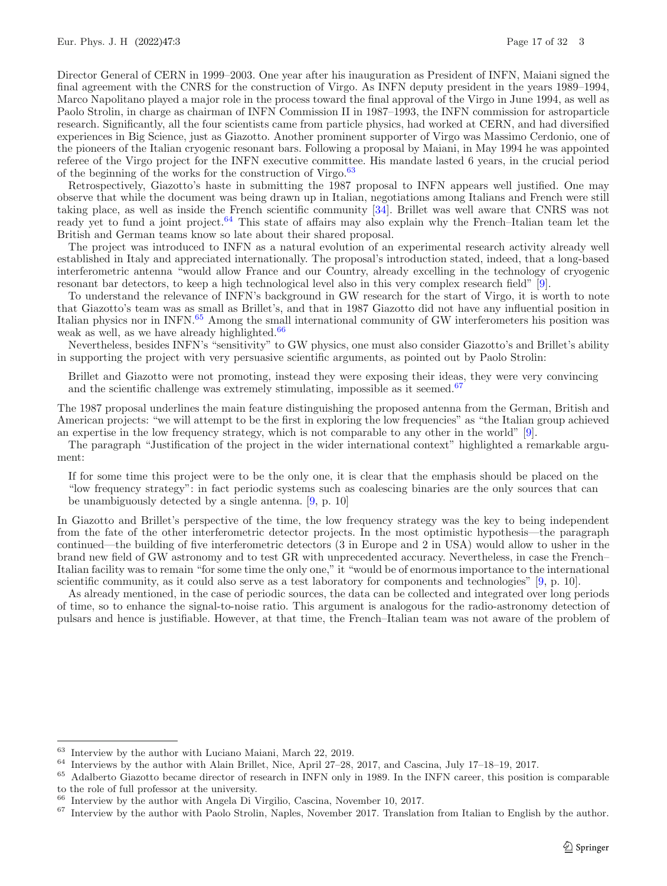Director General of CERN in 1999–2003. One year after his inauguration as President of INFN, Maiani signed the final agreement with the CNRS for the construction of Virgo. As INFN deputy president in the years 1989–1994, Marco Napolitano played a major role in the process toward the final approval of the Virgo in June 1994, as well as Paolo Strolin, in charge as chairman of INFN Commission II in 1987–1993, the INFN commission for astroparticle research. Significantly, all the four scientists came from particle physics, had worked at CERN, and had diversified experiences in Big Science, just as Giazotto. Another prominent supporter of Virgo was Massimo Cerdonio, one of the pioneers of the Italian cryogenic resonant bars. Following a proposal by Maiani, in May 1994 he was appointed referee of the Virgo project for the INFN executive committee. His mandate lasted 6 years, in the crucial period of the beginning of the works for the construction of Virgo. $63$ 

Retrospectively, Giazotto's haste in submitting the 1987 proposal to INFN appears well justified. One may observe that while the document was being drawn up in Italian, negotiations among Italians and French were still taking place, as well as inside the French scientific community [\[34](#page-30-4)]. Brillet was well aware that CNRS was not ready yet to fund a joint project.<sup>[64](#page-16-1)</sup> This state of affairs may also explain why the French–Italian team let the British and German teams know so late about their shared proposal.

The project was introduced to INFN as a natural evolution of an experimental research activity already well established in Italy and appreciated internationally. The proposal's introduction stated, indeed, that a long-based interferometric antenna "would allow France and our Country, already excelling in the technology of cryogenic resonant bar detectors, to keep a high technological level also in this very complex research field" [\[9\]](#page-28-8).

To understand the relevance of INFN's background in GW research for the start of Virgo, it is worth to note that Giazotto's team was as small as Brillet's, and that in 1987 Giazotto did not have any influential position in Italian physics nor in INFN.[65](#page-16-2) Among the small international community of GW interferometers his position was weak as well, as we have already highlighted.<sup>[66](#page-16-3)</sup>

Nevertheless, besides INFN's "sensitivity" to GW physics, one must also consider Giazotto's and Brillet's ability in supporting the project with very persuasive scientific arguments, as pointed out by Paolo Strolin:

Brillet and Giazotto were not promoting, instead they were exposing their ideas, they were very convincing and the scientific challenge was extremely stimulating, impossible as it seemed.<sup>[67](#page-16-4)</sup>

The 1987 proposal underlines the main feature distinguishing the proposed antenna from the German, British and American projects: "we will attempt to be the first in exploring the low frequencies" as "the Italian group achieved an expertise in the low frequency strategy, which is not comparable to any other in the world" [\[9\]](#page-28-8).

The paragraph "Justification of the project in the wider international context" highlighted a remarkable argument:

If for some time this project were to be the only one, it is clear that the emphasis should be placed on the "low frequency strategy": in fact periodic systems such as coalescing binaries are the only sources that can be unambiguously detected by a single antenna. [\[9](#page-28-8), p. 10]

In Giazotto and Brillet's perspective of the time, the low frequency strategy was the key to being independent from the fate of the other interferometric detector projects. In the most optimistic hypothesis—the paragraph continued—the building of five interferometric detectors (3 in Europe and 2 in USA) would allow to usher in the brand new field of GW astronomy and to test GR with unprecedented accuracy. Nevertheless, in case the French– Italian facility was to remain "for some time the only one," it "would be of enormous importance to the international scientific community, as it could also serve as a test laboratory for components and technologies" [\[9,](#page-28-8) p. 10].

As already mentioned, in the case of periodic sources, the data can be collected and integrated over long periods of time, so to enhance the signal-to-noise ratio. This argument is analogous for the radio-astronomy detection of pulsars and hence is justifiable. However, at that time, the French–Italian team was not aware of the problem of

<span id="page-16-0"></span>Interview by the author with Luciano Maiani, March 22, 2019.

<span id="page-16-1"></span><sup>64</sup> Interviews by the author with Alain Brillet, Nice, April 27–28, 2017, and Cascina, July 17–18–19, 2017.

<span id="page-16-2"></span><sup>&</sup>lt;sup>65</sup> Adalberto Giazotto became director of research in INFN only in 1989. In the INFN career, this position is comparable to the role of full professor at the university.

<span id="page-16-3"></span>Interview by the author with Angela Di Virgilio, Cascina, November 10, 2017.

<span id="page-16-4"></span> $67$  Interview by the author with Paolo Strolin, Naples, November 2017. Translation from Italian to English by the author.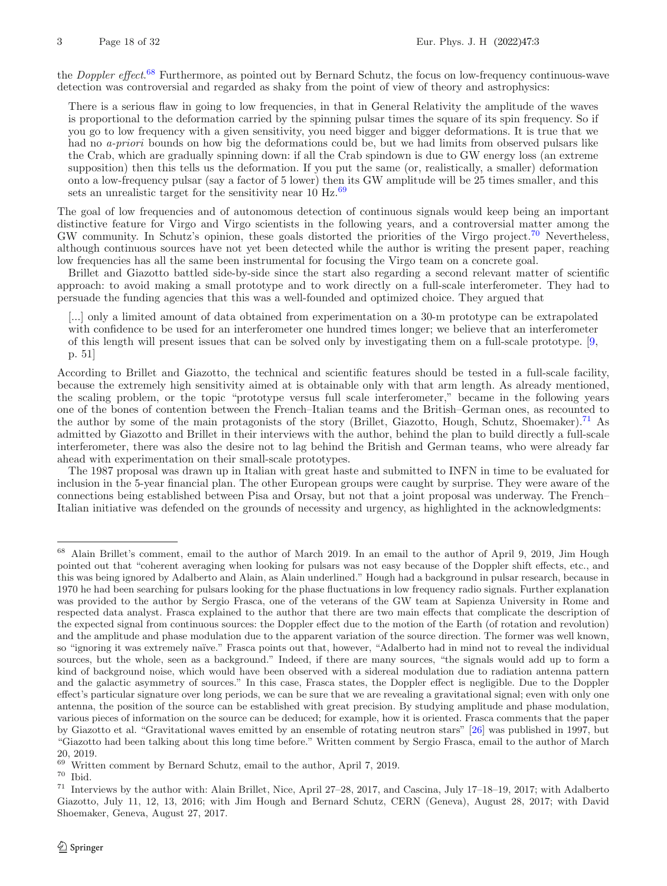the *Doppler effect*. [68](#page-17-0) Furthermore, as pointed out by Bernard Schutz, the focus on low-frequency continuous-wave detection was controversial and regarded as shaky from the point of view of theory and astrophysics:

There is a serious flaw in going to low frequencies, in that in General Relativity the amplitude of the waves is proportional to the deformation carried by the spinning pulsar times the square of its spin frequency. So if you go to low frequency with a given sensitivity, you need bigger and bigger deformations. It is true that we had no *a-priori* bounds on how big the deformations could be, but we had limits from observed pulsars like the Crab, which are gradually spinning down: if all the Crab spindown is due to GW energy loss (an extreme supposition) then this tells us the deformation. If you put the same (or, realistically, a smaller) deformation onto a low-frequency pulsar (say a factor of 5 lower) then its GW amplitude will be 25 times smaller, and this sets an unrealistic target for the sensitivity near  $10 \text{ Hz}$ .<sup>[69](#page-17-1)</sup>

The goal of low frequencies and of autonomous detection of continuous signals would keep being an important distinctive feature for Virgo and Virgo scientists in the following years, and a controversial matter among the GW community. In Schutz's opinion, these goals distorted the priorities of the Virgo project.<sup>[70](#page-17-2)</sup> Nevertheless, although continuous sources have not yet been detected while the author is writing the present paper, reaching low frequencies has all the same been instrumental for focusing the Virgo team on a concrete goal.

Brillet and Giazotto battled side-by-side since the start also regarding a second relevant matter of scientific approach: to avoid making a small prototype and to work directly on a full-scale interferometer. They had to persuade the funding agencies that this was a well-founded and optimized choice. They argued that

[...] only a limited amount of data obtained from experimentation on a 30-m prototype can be extrapolated with confidence to be used for an interferometer one hundred times longer; we believe that an interferometer of this length will present issues that can be solved only by investigating them on a full-scale prototype. [\[9,](#page-28-8) p. 51]

According to Brillet and Giazotto, the technical and scientific features should be tested in a full-scale facility, because the extremely high sensitivity aimed at is obtainable only with that arm length. As already mentioned, the scaling problem, or the topic "prototype versus full scale interferometer," became in the following years one of the bones of contention between the French–Italian teams and the British–German ones, as recounted to the author by some of the main protagonists of the story (Brillet, Giazotto, Hough, Schutz, Shoemaker).<sup>[71](#page-17-3)</sup> As admitted by Giazotto and Brillet in their interviews with the author, behind the plan to build directly a full-scale interferometer, there was also the desire not to lag behind the British and German teams, who were already far ahead with experimentation on their small-scale prototypes.

The 1987 proposal was drawn up in Italian with great haste and submitted to INFN in time to be evaluated for inclusion in the 5-year financial plan. The other European groups were caught by surprise. They were aware of the connections being established between Pisa and Orsay, but not that a joint proposal was underway. The French– Italian initiative was defended on the grounds of necessity and urgency, as highlighted in the acknowledgments:

<span id="page-17-0"></span><sup>68</sup> Alain Brillet's comment, email to the author of March 2019. In an email to the author of April 9, 2019, Jim Hough pointed out that "coherent averaging when looking for pulsars was not easy because of the Doppler shift effects, etc., and this was being ignored by Adalberto and Alain, as Alain underlined." Hough had a background in pulsar research, because in 1970 he had been searching for pulsars looking for the phase fluctuations in low frequency radio signals. Further explanation was provided to the author by Sergio Frasca, one of the veterans of the GW team at Sapienza University in Rome and respected data analyst. Frasca explained to the author that there are two main effects that complicate the description of the expected signal from continuous sources: the Doppler effect due to the motion of the Earth (of rotation and revolution) and the amplitude and phase modulation due to the apparent variation of the source direction. The former was well known, so "ignoring it was extremely naïve." Frasca points out that, however, "Adalberto had in mind not to reveal the individual sources, but the whole, seen as a background." Indeed, if there are many sources, "the signals would add up to form a kind of background noise, which would have been observed with a sidereal modulation due to radiation antenna pattern and the galactic asymmetry of sources." In this case, Frasca states, the Doppler effect is negligible. Due to the Doppler effect's particular signature over long periods, we can be sure that we are revealing a gravitational signal; even with only one antenna, the position of the source can be established with great precision. By studying amplitude and phase modulation, various pieces of information on the source can be deduced; for example, how it is oriented. Frasca comments that the paper by Giazotto et al. "Gravitational waves emitted by an ensemble of rotating neutron stars" [\[26\]](#page-29-18) was published in 1997, but "Giazotto had been talking about this long time before." Written comment by Sergio Frasca, email to the author of March 20, 2019.

<span id="page-17-1"></span> $69$  Written comment by Bernard Schutz, email to the author, April 7, 2019.

<span id="page-17-2"></span><sup>70</sup> Ibid.

<span id="page-17-3"></span><sup>71</sup> Interviews by the author with: Alain Brillet, Nice, April 27–28, 2017, and Cascina, July 17–18–19, 2017; with Adalberto Giazotto, July 11, 12, 13, 2016; with Jim Hough and Bernard Schutz, CERN (Geneva), August 28, 2017; with David Shoemaker, Geneva, August 27, 2017.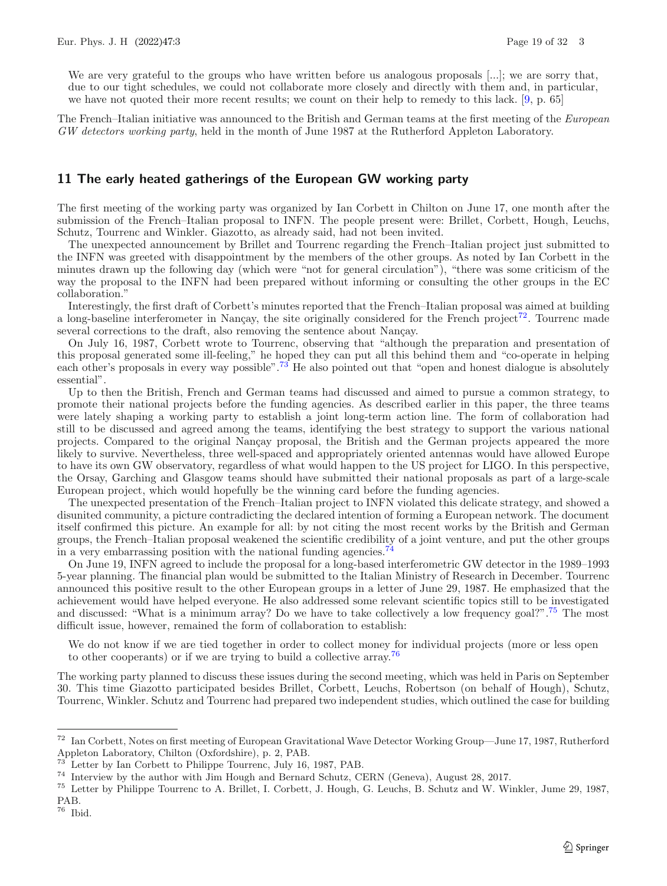We are very grateful to the groups who have written before us analogous proposals [...]; we are sorry that, due to our tight schedules, we could not collaborate more closely and directly with them and, in particular, we have not quoted their more recent results; we count on their help to remedy to this lack. [\[9](#page-28-8), p. 65]

The French–Italian initiative was announced to the British and German teams at the first meeting of the *European GW detectors working party*, held in the month of June 1987 at the Rutherford Appleton Laboratory.

# **11 The early heated gatherings of the European GW working party**

The first meeting of the working party was organized by Ian Corbett in Chilton on June 17, one month after the submission of the French–Italian proposal to INFN. The people present were: Brillet, Corbett, Hough, Leuchs, Schutz, Tourrenc and Winkler. Giazotto, as already said, had not been invited.

The unexpected announcement by Brillet and Tourrenc regarding the French–Italian project just submitted to the INFN was greeted with disappointment by the members of the other groups. As noted by Ian Corbett in the minutes drawn up the following day (which were "not for general circulation"), "there was some criticism of the way the proposal to the INFN had been prepared without informing or consulting the other groups in the EC collaboration."

Interestingly, the first draft of Corbett's minutes reported that the French–Italian proposal was aimed at building a long-baseline interferometer in Nançay, the site originally considered for the French project<sup>[72](#page-18-0)</sup>. Tourrenc made several corrections to the draft, also removing the sentence about Nançay.

On July 16, 1987, Corbett wrote to Tourrenc, observing that "although the preparation and presentation of this proposal generated some ill-feeling," he hoped they can put all this behind them and "co-operate in helping each other's proposals in every way possible".<sup>[73](#page-18-1)</sup> He also pointed out that "open and honest dialogue is absolutely essential".

Up to then the British, French and German teams had discussed and aimed to pursue a common strategy, to promote their national projects before the funding agencies. As described earlier in this paper, the three teams were lately shaping a working party to establish a joint long-term action line. The form of collaboration had still to be discussed and agreed among the teams, identifying the best strategy to support the various national projects. Compared to the original Nançay proposal, the British and the German projects appeared the more likely to survive. Nevertheless, three well-spaced and appropriately oriented antennas would have allowed Europe to have its own GW observatory, regardless of what would happen to the US project for LIGO. In this perspective, the Orsay, Garching and Glasgow teams should have submitted their national proposals as part of a large-scale European project, which would hopefully be the winning card before the funding agencies.

The unexpected presentation of the French–Italian project to INFN violated this delicate strategy, and showed a disunited community, a picture contradicting the declared intention of forming a European network. The document itself confirmed this picture. An example for all: by not citing the most recent works by the British and German groups, the French–Italian proposal weakened the scientific credibility of a joint venture, and put the other groups in a very embarrassing position with the national funding agencies.<sup>[74](#page-18-2)</sup>

On June 19, INFN agreed to include the proposal for a long-based interferometric GW detector in the 1989–1993 5-year planning. The financial plan would be submitted to the Italian Ministry of Research in December. Tourrenc announced this positive result to the other European groups in a letter of June 29, 1987. He emphasized that the achievement would have helped everyone. He also addressed some relevant scientific topics still to be investigated and discussed: "What is a minimum array? Do we have to take collectively a low frequency goal?".[75](#page-18-3) The most difficult issue, however, remained the form of collaboration to establish:

We do not know if we are tied together in order to collect money for individual projects (more or less open to other cooperants) or if we are trying to build a collective array.<sup>[76](#page-18-4)</sup>

The working party planned to discuss these issues during the second meeting, which was held in Paris on September 30. This time Giazotto participated besides Brillet, Corbett, Leuchs, Robertson (on behalf of Hough), Schutz, Tourrenc, Winkler. Schutz and Tourrenc had prepared two independent studies, which outlined the case for building

<span id="page-18-0"></span><sup>72</sup> Ian Corbett, Notes on first meeting of European Gravitational Wave Detector Working Group—June 17, 1987, Rutherford Appleton Laboratory, Chilton (Oxfordshire), p. 2, PAB.

<span id="page-18-1"></span>Letter by Ian Corbett to Philippe Tourrenc, July 16, 1987, PAB.

<span id="page-18-2"></span><sup>74</sup> Interview by the author with Jim Hough and Bernard Schutz, CERN (Geneva), August 28, 2017.

<span id="page-18-3"></span><sup>75</sup> Letter by Philippe Tourrenc to A. Brillet, I. Corbett, J. Hough, G. Leuchs, B. Schutz and W. Winkler, Jume 29, 1987, PAB.

<span id="page-18-4"></span><sup>76</sup> Ibid.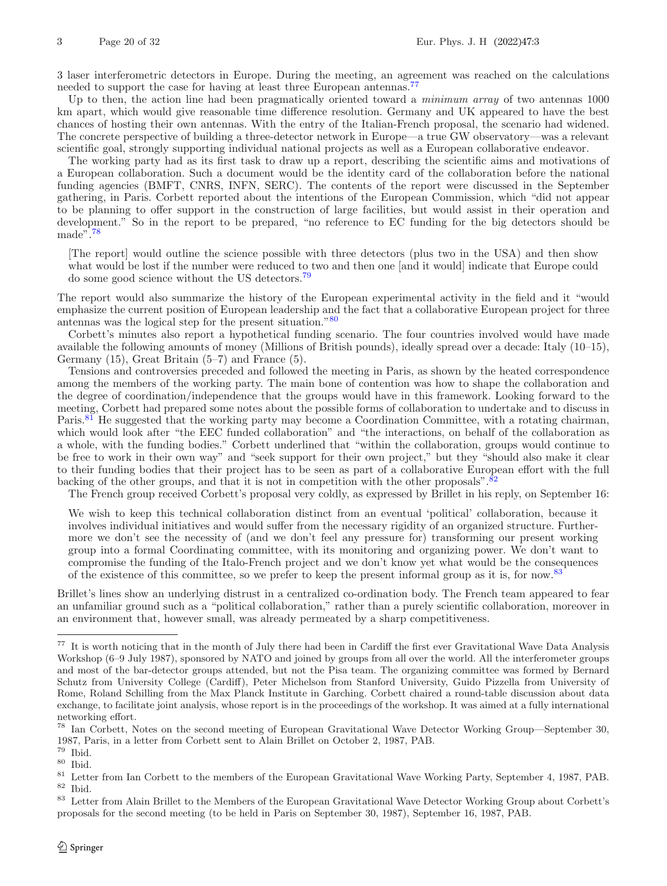3 laser interferometric detectors in Europe. During the meeting, an agreement was reached on the calculations needed to support the case for having at least three European antennas.<sup>[77](#page-19-0)</sup>

Up to then, the action line had been pragmatically oriented toward a *minimum array* of two antennas 1000 km apart, which would give reasonable time difference resolution. Germany and UK appeared to have the best chances of hosting their own antennas. With the entry of the Italian-French proposal, the scenario had widened. The concrete perspective of building a three-detector network in Europe—a true GW observatory—was a relevant scientific goal, strongly supporting individual national projects as well as a European collaborative endeavor.

The working party had as its first task to draw up a report, describing the scientific aims and motivations of a European collaboration. Such a document would be the identity card of the collaboration before the national funding agencies (BMFT, CNRS, INFN, SERC). The contents of the report were discussed in the September gathering, in Paris. Corbett reported about the intentions of the European Commission, which "did not appear to be planning to offer support in the construction of large facilities, but would assist in their operation and development." So in the report to be prepared, "no reference to EC funding for the big detectors should be made".[78](#page-19-1)

[The report] would outline the science possible with three detectors (plus two in the USA) and then show what would be lost if the number were reduced to two and then one [and it would] indicate that Europe could do some good science without the US detectors.[79](#page-19-2)

The report would also summarize the history of the European experimental activity in the field and it "would emphasize the current position of European leadership and the fact that a collaborative European project for three antennas was the logical step for the present situation."[80](#page-19-3)

Corbett's minutes also report a hypothetical funding scenario. The four countries involved would have made available the following amounts of money (Millions of British pounds), ideally spread over a decade: Italy (10–15), Germany (15), Great Britain (5–7) and France (5).

Tensions and controversies preceded and followed the meeting in Paris, as shown by the heated correspondence among the members of the working party. The main bone of contention was how to shape the collaboration and the degree of coordination/independence that the groups would have in this framework. Looking forward to the meeting, Corbett had prepared some notes about the possible forms of collaboration to undertake and to discuss in Paris.<sup>[81](#page-19-4)</sup> He suggested that the working party may become a Coordination Committee, with a rotating chairman, which would look after "the EEC funded collaboration" and "the interactions, on behalf of the collaboration as a whole, with the funding bodies." Corbett underlined that "within the collaboration, groups would continue to be free to work in their own way" and "seek support for their own project," but they "should also make it clear to their funding bodies that their project has to be seen as part of a collaborative European effort with the full backing of the other groups, and that it is not in competition with the other proposals".<sup>[82](#page-19-5)</sup>

The French group received Corbett's proposal very coldly, as expressed by Brillet in his reply, on September 16:

We wish to keep this technical collaboration distinct from an eventual 'political' collaboration, because it involves individual initiatives and would suffer from the necessary rigidity of an organized structure. Furthermore we don't see the necessity of (and we don't feel any pressure for) transforming our present working group into a formal Coordinating committee, with its monitoring and organizing power. We don't want to compromise the funding of the Italo-French project and we don't know yet what would be the consequences of the existence of this committee, so we prefer to keep the present informal group as it is, for now.[83](#page-19-6)

Brillet's lines show an underlying distrust in a centralized co-ordination body. The French team appeared to fear an unfamiliar ground such as a "political collaboration," rather than a purely scientific collaboration, moreover in an environment that, however small, was already permeated by a sharp competitiveness.

<span id="page-19-0"></span><sup>&</sup>lt;sup>77</sup> It is worth noticing that in the month of July there had been in Cardiff the first ever Gravitational Wave Data Analysis Workshop (6–9 July 1987), sponsored by NATO and joined by groups from all over the world. All the interferometer groups and most of the bar-detector groups attended, but not the Pisa team. The organizing committee was formed by Bernard Schutz from University College (Cardiff), Peter Michelson from Stanford University, Guido Pizzella from University of Rome, Roland Schilling from the Max Planck Institute in Garching. Corbett chaired a round-table discussion about data exchange, to facilitate joint analysis, whose report is in the proceedings of the workshop. It was aimed at a fully international networking effort.

<span id="page-19-1"></span><sup>78</sup> Ian Corbett, Notes on the second meeting of European Gravitational Wave Detector Working Group—September 30, 1987, Paris, in a letter from Corbett sent to Alain Brillet on October 2, 1987, PAB.<br> $79 \text{ Hz}$ 

<span id="page-19-2"></span>Ibid.

<span id="page-19-3"></span> $^{\,80}$  Ibid.

<span id="page-19-4"></span><sup>&</sup>lt;sup>81</sup> Letter from Ian Corbett to the members of the European Gravitational Wave Working Party, September 4, 1987, PAB.  $^{82}\,$  Ibid.

<span id="page-19-6"></span><span id="page-19-5"></span><sup>&</sup>lt;sup>83</sup> Letter from Alain Brillet to the Members of the European Gravitational Wave Detector Working Group about Corbett's proposals for the second meeting (to be held in Paris on September 30, 1987), September 16, 1987, PAB.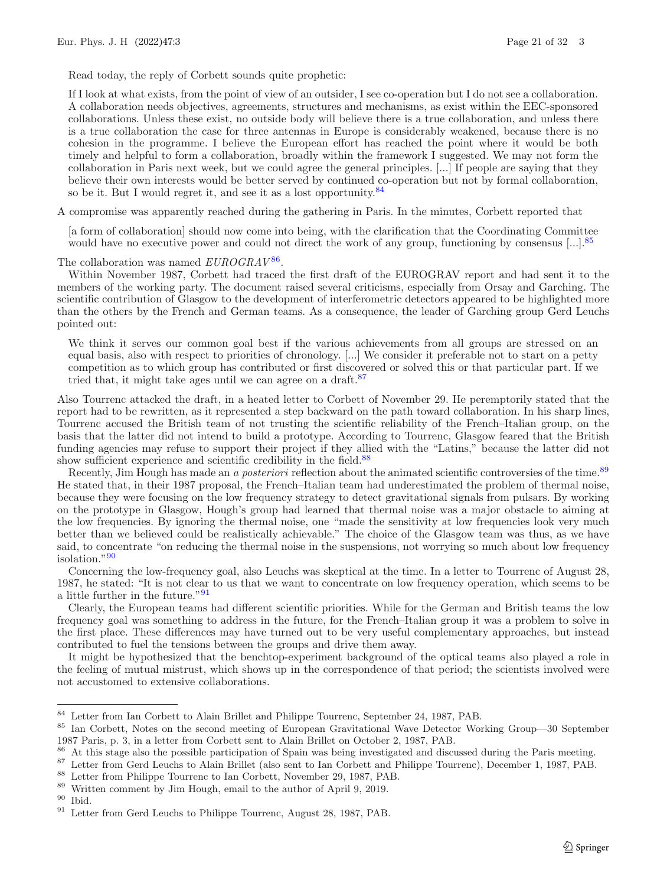Read today, the reply of Corbett sounds quite prophetic:

If I look at what exists, from the point of view of an outsider, I see co-operation but I do not see a collaboration. A collaboration needs objectives, agreements, structures and mechanisms, as exist within the EEC-sponsored collaborations. Unless these exist, no outside body will believe there is a true collaboration, and unless there is a true collaboration the case for three antennas in Europe is considerably weakened, because there is no cohesion in the programme. I believe the European effort has reached the point where it would be both timely and helpful to form a collaboration, broadly within the framework I suggested. We may not form the collaboration in Paris next week, but we could agree the general principles. [...] If people are saying that they believe their own interests would be better served by continued co-operation but not by formal collaboration, so be it. But I would regret it, and see it as a lost opportunity.  $84$ 

A compromise was apparently reached during the gathering in Paris. In the minutes, Corbett reported that

[a form of collaboration] should now come into being, with the clarification that the Coordinating Committee would have no executive power and could not direct the work of any group, functioning by consensus [...].<sup>[85](#page-20-1)</sup>

#### The collaboration was named *EUROGRAV*<sup>[86](#page-20-2)</sup>.

Within November 1987, Corbett had traced the first draft of the EUROGRAV report and had sent it to the members of the working party. The document raised several criticisms, especially from Orsay and Garching. The scientific contribution of Glasgow to the development of interferometric detectors appeared to be highlighted more than the others by the French and German teams. As a consequence, the leader of Garching group Gerd Leuchs pointed out:

We think it serves our common goal best if the various achievements from all groups are stressed on an equal basis, also with respect to priorities of chronology. [...] We consider it preferable not to start on a petty competition as to which group has contributed or first discovered or solved this or that particular part. If we tried that, it might take ages until we can agree on a draft.<sup>[87](#page-20-3)</sup>

Also Tourrenc attacked the draft, in a heated letter to Corbett of November 29. He peremptorily stated that the report had to be rewritten, as it represented a step backward on the path toward collaboration. In his sharp lines, Tourrenc accused the British team of not trusting the scientific reliability of the French–Italian group, on the basis that the latter did not intend to build a prototype. According to Tourrenc, Glasgow feared that the British funding agencies may refuse to support their project if they allied with the "Latins," because the latter did not show sufficient experience and scientific credibility in the field.<sup>[88](#page-20-4)</sup>

Recently, Jim Hough has made an *a posteriori* reflection about the animated scientific controversies of the time.<sup>[89](#page-20-5)</sup> He stated that, in their 1987 proposal, the French–Italian team had underestimated the problem of thermal noise, because they were focusing on the low frequency strategy to detect gravitational signals from pulsars. By working on the prototype in Glasgow, Hough's group had learned that thermal noise was a major obstacle to aiming at the low frequencies. By ignoring the thermal noise, one "made the sensitivity at low frequencies look very much better than we believed could be realistically achievable." The choice of the Glasgow team was thus, as we have said, to concentrate "on reducing the thermal noise in the suspensions, not worrying so much about low frequency isolation."[90](#page-20-6)

Concerning the low-frequency goal, also Leuchs was skeptical at the time. In a letter to Tourrenc of August 28, 1987, he stated: "It is not clear to us that we want to concentrate on low frequency operation, which seems to be a little further in the future."[91](#page-20-7)

Clearly, the European teams had different scientific priorities. While for the German and British teams the low frequency goal was something to address in the future, for the French–Italian group it was a problem to solve in the first place. These differences may have turned out to be very useful complementary approaches, but instead contributed to fuel the tensions between the groups and drive them away.

It might be hypothesized that the benchtop-experiment background of the optical teams also played a role in the feeling of mutual mistrust, which shows up in the correspondence of that period; the scientists involved were not accustomed to extensive collaborations.

<span id="page-20-0"></span><sup>84</sup> Letter from Ian Corbett to Alain Brillet and Philippe Tourrenc, September 24, 1987, PAB.

<span id="page-20-1"></span><sup>85</sup> Ian Corbett, Notes on the second meeting of European Gravitational Wave Detector Working Group—30 September 1987 Paris, p. 3, in a letter from Corbett sent to Alain Brillet on October 2, 1987, PAB.

<span id="page-20-2"></span><sup>86</sup> At this stage also the possible participation of Spain was being investigated and discussed during the Paris meeting.

<span id="page-20-3"></span><sup>87</sup> Letter from Gerd Leuchs to Alain Brillet (also sent to Ian Corbett and Philippe Tourrenc), December 1, 1987, PAB.

<span id="page-20-4"></span><sup>88</sup> Letter from Philippe Tourrenc to Ian Corbett, November 29, 1987, PAB.

<span id="page-20-5"></span><sup>89</sup> Written comment by Jim Hough, email to the author of April 9, 2019.

<span id="page-20-6"></span> $^{90}\,$  Ibid.

<span id="page-20-7"></span> $^{91}\,$  Letter from Gerd Leuchs to Philippe Tourrenc, August 28, 1987, PAB.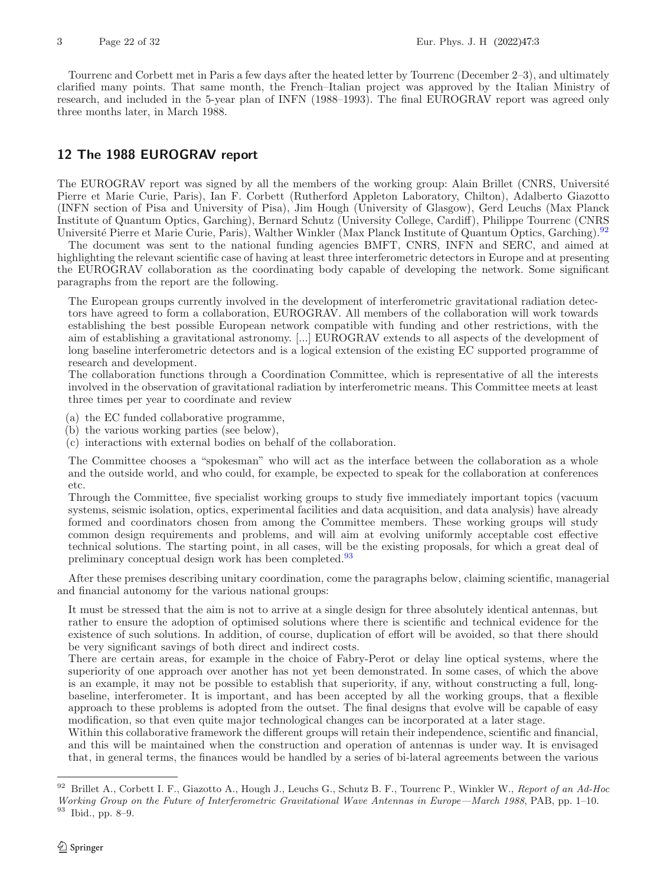Tourrenc and Corbett met in Paris a few days after the heated letter by Tourrenc (December 2–3), and ultimately clarified many points. That same month, the French–Italian project was approved by the Italian Ministry of research, and included in the 5-year plan of INFN (1988–1993). The final EUROGRAV report was agreed only three months later, in March 1988.

# **12 The 1988 EUROGRAV report**

The EUROGRAV report was signed by all the members of the working group: Alain Brillet (CNRS, Université Pierre et Marie Curie, Paris), Ian F. Corbett (Rutherford Appleton Laboratory, Chilton), Adalberto Giazotto (INFN section of Pisa and University of Pisa), Jim Hough (University of Glasgow), Gerd Leuchs (Max Planck Institute of Quantum Optics, Garching), Bernard Schutz (University College, Cardiff), Philippe Tourrenc (CNRS Université Pierre et Marie Curie, Paris), Walther Winkler (Max Planck Institute of Quantum Optics, Garching).<sup>[92](#page-21-0)</sup>

The document was sent to the national funding agencies BMFT, CNRS, INFN and SERC, and aimed at highlighting the relevant scientific case of having at least three interferometric detectors in Europe and at presenting the EUROGRAV collaboration as the coordinating body capable of developing the network. Some significant paragraphs from the report are the following.

The European groups currently involved in the development of interferometric gravitational radiation detectors have agreed to form a collaboration, EUROGRAV. All members of the collaboration will work towards establishing the best possible European network compatible with funding and other restrictions, with the aim of establishing a gravitational astronomy. [...] EUROGRAV extends to all aspects of the development of long baseline interferometric detectors and is a logical extension of the existing EC supported programme of research and development.

The collaboration functions through a Coordination Committee, which is representative of all the interests involved in the observation of gravitational radiation by interferometric means. This Committee meets at least three times per year to coordinate and review

(a) the EC funded collaborative programme,

(b) the various working parties (see below),

(c) interactions with external bodies on behalf of the collaboration.

The Committee chooses a "spokesman" who will act as the interface between the collaboration as a whole and the outside world, and who could, for example, be expected to speak for the collaboration at conferences etc.

Through the Committee, five specialist working groups to study five immediately important topics (vacuum systems, seismic isolation, optics, experimental facilities and data acquisition, and data analysis) have already formed and coordinators chosen from among the Committee members. These working groups will study common design requirements and problems, and will aim at evolving uniformly acceptable cost effective technical solutions. The starting point, in all cases, will be the existing proposals, for which a great deal of preliminary conceptual design work has been completed.<sup>[93](#page-21-1)</sup>

After these premises describing unitary coordination, come the paragraphs below, claiming scientific, managerial and financial autonomy for the various national groups:

It must be stressed that the aim is not to arrive at a single design for three absolutely identical antennas, but rather to ensure the adoption of optimised solutions where there is scientific and technical evidence for the existence of such solutions. In addition, of course, duplication of effort will be avoided, so that there should be very significant savings of both direct and indirect costs.

There are certain areas, for example in the choice of Fabry-Perot or delay line optical systems, where the superiority of one approach over another has not yet been demonstrated. In some cases, of which the above is an example, it may not be possible to establish that superiority, if any, without constructing a full, longbaseline, interferometer. It is important, and has been accepted by all the working groups, that a flexible approach to these problems is adopted from the outset. The final designs that evolve will be capable of easy modification, so that even quite major technological changes can be incorporated at a later stage.

Within this collaborative framework the different groups will retain their independence, scientific and financial, and this will be maintained when the construction and operation of antennas is under way. It is envisaged that, in general terms, the finances would be handled by a series of bi-lateral agreements between the various

<span id="page-21-1"></span><span id="page-21-0"></span><sup>92</sup> Brillet A., Corbett I. F., Giazotto A., Hough J., Leuchs G., Schutz B. F., Tourrenc P., Winkler W., *Report of an Ad-Hoc Working Group on the Future of Interferometric Gravitational Wave Antennas in Europe—March 1988*, PAB, pp. 1–10. <sup>93</sup> Ibid., pp. 8–9.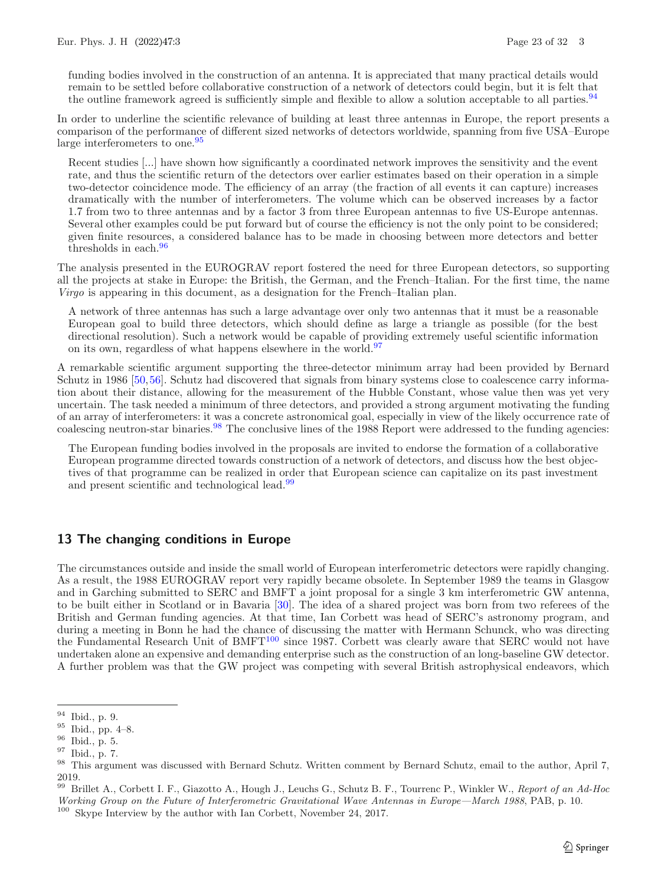funding bodies involved in the construction of an antenna. It is appreciated that many practical details would remain to be settled before collaborative construction of a network of detectors could begin, but it is felt that the outline framework agreed is sufficiently simple and flexible to allow a solution acceptable to all parties.<sup>[94](#page-22-0)</sup>

In order to underline the scientific relevance of building at least three antennas in Europe, the report presents a comparison of the performance of different sized networks of detectors worldwide, spanning from five USA–Europe large interferometers to one.<sup>[95](#page-22-1)</sup>

Recent studies [...] have shown how significantly a coordinated network improves the sensitivity and the event rate, and thus the scientific return of the detectors over earlier estimates based on their operation in a simple two-detector coincidence mode. The efficiency of an array (the fraction of all events it can capture) increases dramatically with the number of interferometers. The volume which can be observed increases by a factor 1.7 from two to three antennas and by a factor 3 from three European antennas to five US-Europe antennas. Several other examples could be put forward but of course the efficiency is not the only point to be considered; given finite resources, a considered balance has to be made in choosing between more detectors and better thresholds in each.<sup>[96](#page-22-2)</sup>

The analysis presented in the EUROGRAV report fostered the need for three European detectors, so supporting all the projects at stake in Europe: the British, the German, and the French–Italian. For the first time, the name *Virgo* is appearing in this document, as a designation for the French–Italian plan.

A network of three antennas has such a large advantage over only two antennas that it must be a reasonable European goal to build three detectors, which should define as large a triangle as possible (for the best directional resolution). Such a network would be capable of providing extremely useful scientific information on its own, regardless of what happens elsewhere in the world.<sup>[97](#page-22-3)</sup>

A remarkable scientific argument supporting the three-detector minimum array had been provided by Bernard Schutz in 1986 [\[50,](#page-30-24)[56\]](#page-30-25). Schutz had discovered that signals from binary systems close to coalescence carry information about their distance, allowing for the measurement of the Hubble Constant, whose value then was yet very uncertain. The task needed a minimum of three detectors, and provided a strong argument motivating the funding of an array of interferometers: it was a concrete astronomical goal, especially in view of the likely occurrence rate of coalescing neutron-star binaries.<sup>[98](#page-22-4)</sup> The conclusive lines of the 1988 Report were addressed to the funding agencies:

The European funding bodies involved in the proposals are invited to endorse the formation of a collaborative European programme directed towards construction of a network of detectors, and discuss how the best objectives of that programme can be realized in order that European science can capitalize on its past investment and present scientific and technological lead.[99](#page-22-5)

# **13 The changing conditions in Europe**

The circumstances outside and inside the small world of European interferometric detectors were rapidly changing. As a result, the 1988 EUROGRAV report very rapidly became obsolete. In September 1989 the teams in Glasgow and in Garching submitted to SERC and BMFT a joint proposal for a single 3 km interferometric GW antenna, to be built either in Scotland or in Bavaria [\[30\]](#page-29-10). The idea of a shared project was born from two referees of the British and German funding agencies. At that time, Ian Corbett was head of SERC's astronomy program, and during a meeting in Bonn he had the chance of discussing the matter with Hermann Schunck, who was directing the Fundamental Research Unit of BMFT<sup>[100](#page-22-6)</sup> since 1987. Corbett was clearly aware that SERC would not have undertaken alone an expensive and demanding enterprise such as the construction of an long-baseline GW detector. A further problem was that the GW project was competing with several British astrophysical endeavors, which

<span id="page-22-6"></span><span id="page-22-5"></span><sup>99</sup> Brillet A., Corbett I. F., Giazotto A., Hough J., Leuchs G., Schutz B. F., Tourrenc P., Winkler W., *Report of an Ad-Hoc Working Group on the Future of Interferometric Gravitational Wave Antennas in Europe—March 1988*, PAB, p. 10. <sup>100</sup> Skype Interview by the author with Ian Corbett, November 24, 2017.

<span id="page-22-0"></span> $\frac{94}{95}$  Ibid., p. 9.

<span id="page-22-1"></span> $\frac{95}{96}$  Ibid., pp. 4–8.

<span id="page-22-2"></span>Ibid., p. 5.

<span id="page-22-3"></span><sup>97</sup> Ibid., p. 7.

<span id="page-22-4"></span><sup>98</sup> This argument was discussed with Bernard Schutz. Written comment by Bernard Schutz, email to the author, April 7, 2019.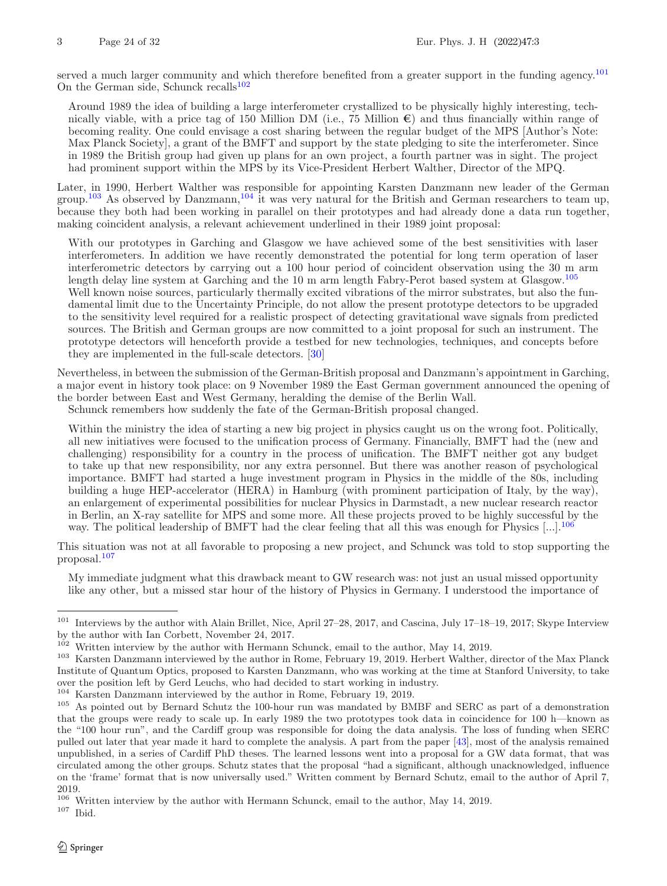served a much larger community and which therefore benefited from a greater support in the funding agency.<sup>[101](#page-23-0)</sup> On the German side, Schunck recalls $102$ 

Around 1989 the idea of building a large interferometer crystallized to be physically highly interesting, technically viable, with a price tag of 150 Million DM (i.e., 75 Million  $\epsilon$ ) and thus financially within range of becoming reality. One could envisage a cost sharing between the regular budget of the MPS [Author's Note: Max Planck Society], a grant of the BMFT and support by the state pledging to site the interferometer. Since in 1989 the British group had given up plans for an own project, a fourth partner was in sight. The project had prominent support within the MPS by its Vice-President Herbert Walther, Director of the MPQ.

Later, in 1990, Herbert Walther was responsible for appointing Karsten Danzmann new leader of the German group.<sup>[103](#page-23-2)</sup> As observed by Danzmann,<sup>[104](#page-23-3)</sup> it was very natural for the British and German researchers to team up, because they both had been working in parallel on their prototypes and had already done a data run together, making coincident analysis, a relevant achievement underlined in their 1989 joint proposal:

With our prototypes in Garching and Glasgow we have achieved some of the best sensitivities with laser interferometers. In addition we have recently demonstrated the potential for long term operation of laser interferometric detectors by carrying out a 100 hour period of coincident observation using the 30 m arm length delay line system at Garching and the 10 m arm length Fabry-Perot based system at Glasgow.[105](#page-23-4) Well known noise sources, particularly thermally excited vibrations of the mirror substrates, but also the fundamental limit due to the Uncertainty Principle, do not allow the present prototype detectors to be upgraded to the sensitivity level required for a realistic prospect of detecting gravitational wave signals from predicted sources. The British and German groups are now committed to a joint proposal for such an instrument. The prototype detectors will henceforth provide a testbed for new technologies, techniques, and concepts before they are implemented in the full-scale detectors. [\[30](#page-29-10)]

Nevertheless, in between the submission of the German-British proposal and Danzmann's appointment in Garching, a major event in history took place: on 9 November 1989 the East German government announced the opening of the border between East and West Germany, heralding the demise of the Berlin Wall.

Schunck remembers how suddenly the fate of the German-British proposal changed.

Within the ministry the idea of starting a new big project in physics caught us on the wrong foot. Politically, all new initiatives were focused to the unification process of Germany. Financially, BMFT had the (new and challenging) responsibility for a country in the process of unification. The BMFT neither got any budget to take up that new responsibility, nor any extra personnel. But there was another reason of psychological importance. BMFT had started a huge investment program in Physics in the middle of the 80s, including building a huge HEP-accelerator (HERA) in Hamburg (with prominent participation of Italy, by the way), an enlargement of experimental possibilities for nuclear Physics in Darmstadt, a new nuclear research reactor in Berlin, an X-ray satellite for MPS and some more. All these projects proved to be highly successful by the way. The political leadership of BMFT had the clear feeling that all this was enough for Physics  $[\dots]$ .<sup>[106](#page-23-5)</sup>

This situation was not at all favorable to proposing a new project, and Schunck was told to stop supporting the proposal.[107](#page-23-6)

My immediate judgment what this drawback meant to GW research was: not just an usual missed opportunity like any other, but a missed star hour of the history of Physics in Germany. I understood the importance of

<span id="page-23-3"></span><sup>104</sup> Karsten Danzmann interviewed by the author in Rome, February 19, 2019.

<span id="page-23-6"></span> $^{107}\,$  Ibid.

<span id="page-23-0"></span><sup>101</sup> Interviews by the author with Alain Brillet, Nice, April 27–28, 2017, and Cascina, July 17–18–19, 2017; Skype Interview by the author with Ian Corbett, November 24, 2017.

<span id="page-23-1"></span> $102$  Written interview by the author with Hermann Schunck, email to the author, May 14, 2019.

<span id="page-23-2"></span><sup>&</sup>lt;sup>103</sup> Karsten Danzmann interviewed by the author in Rome, February 19, 2019. Herbert Walther, director of the Max Planck Institute of Quantum Optics, proposed to Karsten Danzmann, who was working at the time at Stanford University, to take over the position left by Gerd Leuchs, who had decided to start working in industry.

<span id="page-23-4"></span><sup>105</sup> As pointed out by Bernard Schutz the 100-hour run was mandated by BMBF and SERC as part of a demonstration that the groups were ready to scale up. In early 1989 the two prototypes took data in coincidence for 100 h—known as the "100 hour run", and the Cardiff group was responsible for doing the data analysis. The loss of funding when SERC pulled out later that year made it hard to complete the analysis. A part from the paper [\[43\]](#page-30-26), most of the analysis remained unpublished, in a series of Cardiff PhD theses. The learned lessons went into a proposal for a GW data format, that was circulated among the other groups. Schutz states that the proposal "had a significant, although unacknowledged, influence on the 'frame' format that is now universally used." Written comment by Bernard Schutz, email to the author of April 7, 2019.

<span id="page-23-5"></span><sup>106</sup> Written interview by the author with Hermann Schunck, email to the author, May 14, 2019.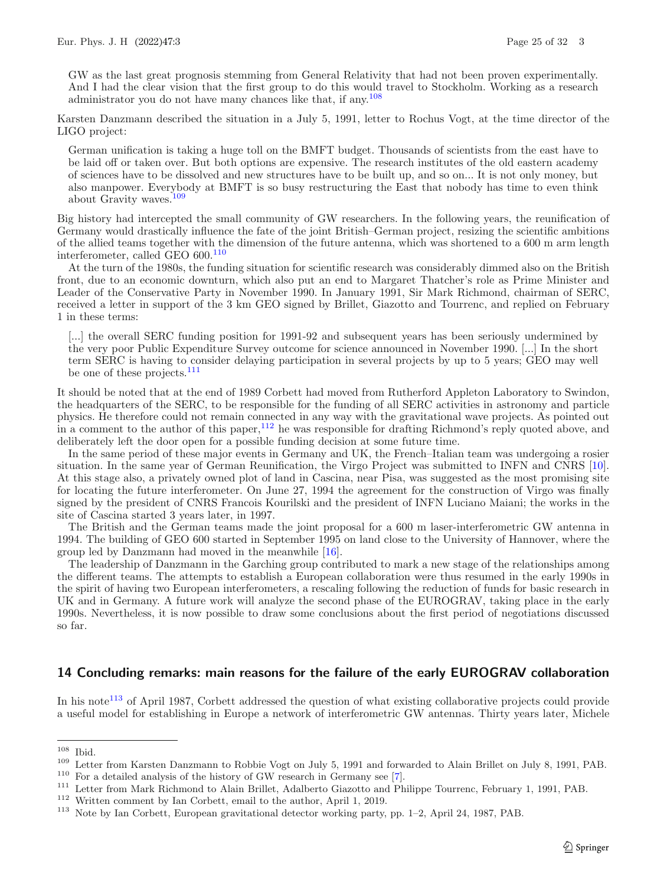GW as the last great prognosis stemming from General Relativity that had not been proven experimentally. And I had the clear vision that the first group to do this would travel to Stockholm. Working as a research administrator you do not have many chances like that, if any.[108](#page-24-0)

Karsten Danzmann described the situation in a July 5, 1991, letter to Rochus Vogt, at the time director of the LIGO project:

German unification is taking a huge toll on the BMFT budget. Thousands of scientists from the east have to be laid off or taken over. But both options are expensive. The research institutes of the old eastern academy of sciences have to be dissolved and new structures have to be built up, and so on... It is not only money, but also manpower. Everybody at BMFT is so busy restructuring the East that nobody has time to even think about Gravity waves.[109](#page-24-1)

Big history had intercepted the small community of GW researchers. In the following years, the reunification of Germany would drastically influence the fate of the joint British–German project, resizing the scientific ambitions of the allied teams together with the dimension of the future antenna, which was shortened to a 600 m arm length interferometer, called GEO 600.<sup>[110](#page-24-2)</sup>

At the turn of the 1980s, the funding situation for scientific research was considerably dimmed also on the British front, due to an economic downturn, which also put an end to Margaret Thatcher's role as Prime Minister and Leader of the Conservative Party in November 1990. In January 1991, Sir Mark Richmond, chairman of SERC, received a letter in support of the 3 km GEO signed by Brillet, Giazotto and Tourrenc, and replied on February 1 in these terms:

[...] the overall SERC funding position for 1991-92 and subsequent years has been seriously undermined by the very poor Public Expenditure Survey outcome for science announced in November 1990. [...] In the short term SERC is having to consider delaying participation in several projects by up to 5 years; GEO may well be one of these projects.<sup>[111](#page-24-3)</sup>

It should be noted that at the end of 1989 Corbett had moved from Rutherford Appleton Laboratory to Swindon, the headquarters of the SERC, to be responsible for the funding of all SERC activities in astronomy and particle physics. He therefore could not remain connected in any way with the gravitational wave projects. As pointed out in a comment to the author of this paper,[112](#page-24-4) he was responsible for drafting Richmond's reply quoted above, and deliberately left the door open for a possible funding decision at some future time.

In the same period of these major events in Germany and UK, the French–Italian team was undergoing a rosier situation. In the same year of German Reunification, the Virgo Project was submitted to INFN and CNRS [\[10\]](#page-29-11). At this stage also, a privately owned plot of land in Cascina, near Pisa, was suggested as the most promising site for locating the future interferometer. On June 27, 1994 the agreement for the construction of Virgo was finally signed by the president of CNRS Francois Kourilski and the president of INFN Luciano Maiani; the works in the site of Cascina started 3 years later, in 1997.

The British and the German teams made the joint proposal for a 600 m laser-interferometric GW antenna in 1994. The building of GEO 600 started in September 1995 on land close to the University of Hannover, where the group led by Danzmann had moved in the meanwhile [\[16\]](#page-29-19).

The leadership of Danzmann in the Garching group contributed to mark a new stage of the relationships among the different teams. The attempts to establish a European collaboration were thus resumed in the early 1990s in the spirit of having two European interferometers, a rescaling following the reduction of funds for basic research in UK and in Germany. A future work will analyze the second phase of the EUROGRAV, taking place in the early 1990s. Nevertheless, it is now possible to draw some conclusions about the first period of negotiations discussed so far.

#### **14 Concluding remarks: main reasons for the failure of the early EUROGRAV collaboration**

In his note<sup>[113](#page-24-5)</sup> of April 1987, Corbett addressed the question of what existing collaborative projects could provide a useful model for establishing in Europe a network of interferometric GW antennas. Thirty years later, Michele

<span id="page-24-0"></span> $^{108}\,$  Ibid.

<span id="page-24-1"></span><sup>109</sup> Letter from Karsten Danzmann to Robbie Vogt on July 5, 1991 and forwarded to Alain Brillet on July 8, 1991, PAB.

<span id="page-24-2"></span> $110$  For a detailed analysis of the history of GW research in Germany see [\[7](#page-28-1)].

<span id="page-24-3"></span><sup>111</sup> Letter from Mark Richmond to Alain Brillet, Adalberto Giazotto and Philippe Tourrenc, February 1, 1991, PAB.

<span id="page-24-4"></span><sup>112</sup> Written comment by Ian Corbett, email to the author, April 1, 2019.

<span id="page-24-5"></span><sup>113</sup> Note by Ian Corbett, European gravitational detector working party, pp. 1–2, April 24, 1987, PAB.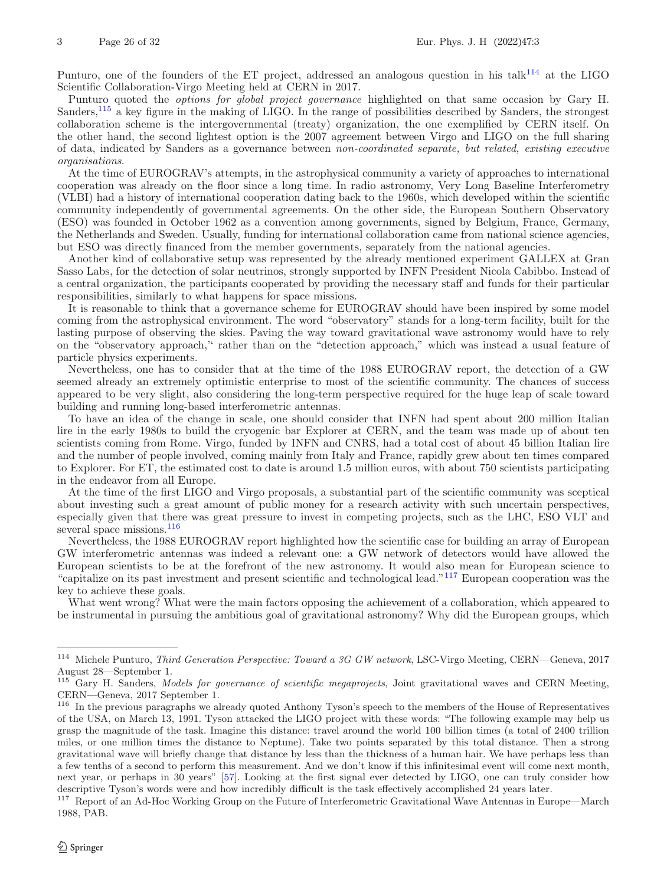Punturo, one of the founders of the ET project, addressed an analogous question in his talk<sup>[114](#page-25-0)</sup> at the LIGO Scientific Collaboration-Virgo Meeting held at CERN in 2017.

Punturo quoted the *options for global project governance* highlighted on that same occasion by Gary H. Sanders,[115](#page-25-1) a key figure in the making of LIGO. In the range of possibilities described by Sanders, the strongest collaboration scheme is the intergovernmental (treaty) organization, the one exemplified by CERN itself. On the other hand, the second lightest option is the 2007 agreement between Virgo and LIGO on the full sharing of data, indicated by Sanders as a governance between *non-coordinated separate, but related, existing executive organisations*.

At the time of EUROGRAV's attempts, in the astrophysical community a variety of approaches to international cooperation was already on the floor since a long time. In radio astronomy, Very Long Baseline Interferometry (VLBI) had a history of international cooperation dating back to the 1960s, which developed within the scientific community independently of governmental agreements. On the other side, the European Southern Observatory (ESO) was founded in October 1962 as a convention among governments, signed by Belgium, France, Germany, the Netherlands and Sweden. Usually, funding for international collaboration came from national science agencies, but ESO was directly financed from the member governments, separately from the national agencies.

Another kind of collaborative setup was represented by the already mentioned experiment GALLEX at Gran Sasso Labs, for the detection of solar neutrinos, strongly supported by INFN President Nicola Cabibbo. Instead of a central organization, the participants cooperated by providing the necessary staff and funds for their particular responsibilities, similarly to what happens for space missions.

It is reasonable to think that a governance scheme for EUROGRAV should have been inspired by some model coming from the astrophysical environment. The word "observatory" stands for a long-term facility, built for the lasting purpose of observing the skies. Paving the way toward gravitational wave astronomy would have to rely on the "observatory approach,'' rather than on the "detection approach," which was instead a usual feature of particle physics experiments.

Nevertheless, one has to consider that at the time of the 1988 EUROGRAV report, the detection of a GW seemed already an extremely optimistic enterprise to most of the scientific community. The chances of success appeared to be very slight, also considering the long-term perspective required for the huge leap of scale toward building and running long-based interferometric antennas.

To have an idea of the change in scale, one should consider that INFN had spent about 200 million Italian lire in the early 1980s to build the cryogenic bar Explorer at CERN, and the team was made up of about ten scientists coming from Rome. Virgo, funded by INFN and CNRS, had a total cost of about 45 billion Italian lire and the number of people involved, coming mainly from Italy and France, rapidly grew about ten times compared to Explorer. For ET, the estimated cost to date is around 1.5 million euros, with about 750 scientists participating in the endeavor from all Europe.

At the time of the first LIGO and Virgo proposals, a substantial part of the scientific community was sceptical about investing such a great amount of public money for a research activity with such uncertain perspectives, especially given that there was great pressure to invest in competing projects, such as the LHC, ESO VLT and several space missions.<sup>[116](#page-25-2)</sup>

Nevertheless, the 1988 EUROGRAV report highlighted how the scientific case for building an array of European GW interferometric antennas was indeed a relevant one: a GW network of detectors would have allowed the European scientists to be at the forefront of the new astronomy. It would also mean for European science to "capitalize on its past investment and present scientific and technological lead."[117](#page-25-3) European cooperation was the key to achieve these goals.

What went wrong? What were the main factors opposing the achievement of a collaboration, which appeared to be instrumental in pursuing the ambitious goal of gravitational astronomy? Why did the European groups, which

<span id="page-25-0"></span><sup>114</sup> Michele Punturo, *Third Generation Perspective: Toward a 3G GW network*, LSC-Virgo Meeting, CERN—Geneva, 2017 August 28—September 1.

<span id="page-25-1"></span><sup>115</sup> Gary H. Sanders, *Models for governance of scientific megaprojects*, Joint gravitational waves and CERN Meeting, CERN—Geneva, 2017 September 1.

<span id="page-25-2"></span><sup>116</sup> In the previous paragraphs we already quoted Anthony Tyson's speech to the members of the House of Representatives of the USA, on March 13, 1991. Tyson attacked the LIGO project with these words: "The following example may help us grasp the magnitude of the task. Imagine this distance: travel around the world 100 billion times (a total of 2400 trillion miles, or one million times the distance to Neptune). Take two points separated by this total distance. Then a strong gravitational wave will briefly change that distance by less than the thickness of a human hair. We have perhaps less than a few tenths of a second to perform this measurement. And we don't know if this infinitesimal event will come next month, next year, or perhaps in 30 years" [\[57](#page-30-0)]. Looking at the first signal ever detected by LIGO, one can truly consider how descriptive Tyson's words were and how incredibly difficult is the task effectively accomplished 24 years later.

<span id="page-25-3"></span><sup>&</sup>lt;sup>117</sup> Report of an Ad-Hoc Working Group on the Future of Interferometric Gravitational Wave Antennas in Europe—March 1988, PAB.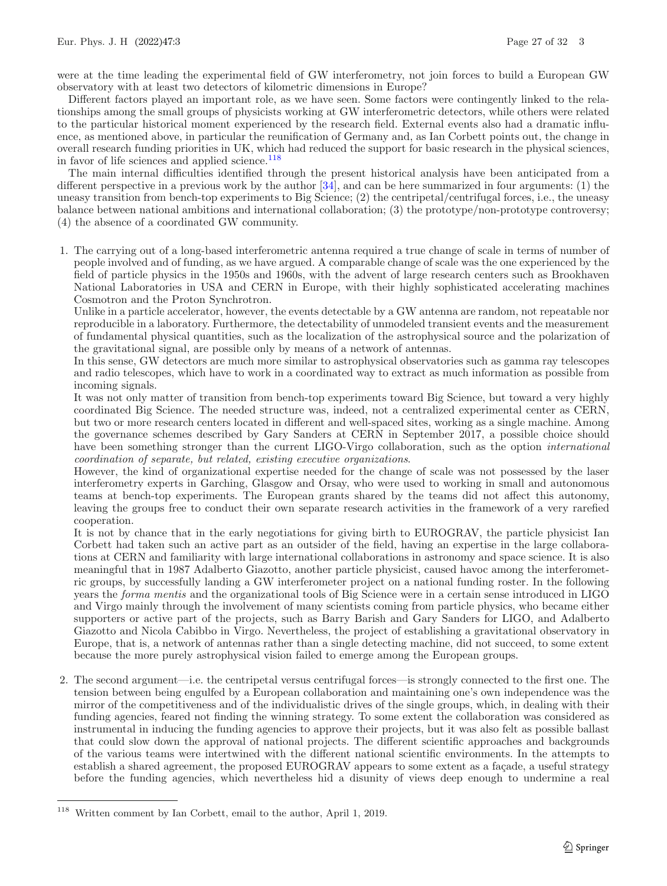were at the time leading the experimental field of GW interferometry, not join forces to build a European GW observatory with at least two detectors of kilometric dimensions in Europe?

Different factors played an important role, as we have seen. Some factors were contingently linked to the relationships among the small groups of physicists working at GW interferometric detectors, while others were related to the particular historical moment experienced by the research field. External events also had a dramatic influence, as mentioned above, in particular the reunification of Germany and, as Ian Corbett points out, the change in overall research funding priorities in UK, which had reduced the support for basic research in the physical sciences, in favor of life sciences and applied science. $118$ 

The main internal difficulties identified through the present historical analysis have been anticipated from a different perspective in a previous work by the author  $[34]$  $[34]$ , and can be here summarized in four arguments: (1) the uneasy transition from bench-top experiments to Big Science; (2) the centripetal/centrifugal forces, i.e., the uneasy balance between national ambitions and international collaboration; (3) the prototype/non-prototype controversy; (4) the absence of a coordinated GW community.

1. The carrying out of a long-based interferometric antenna required a true change of scale in terms of number of people involved and of funding, as we have argued. A comparable change of scale was the one experienced by the field of particle physics in the 1950s and 1960s, with the advent of large research centers such as Brookhaven National Laboratories in USA and CERN in Europe, with their highly sophisticated accelerating machines Cosmotron and the Proton Synchrotron.

Unlike in a particle accelerator, however, the events detectable by a GW antenna are random, not repeatable nor reproducible in a laboratory. Furthermore, the detectability of unmodeled transient events and the measurement of fundamental physical quantities, such as the localization of the astrophysical source and the polarization of the gravitational signal, are possible only by means of a network of antennas.

In this sense, GW detectors are much more similar to astrophysical observatories such as gamma ray telescopes and radio telescopes, which have to work in a coordinated way to extract as much information as possible from incoming signals.

It was not only matter of transition from bench-top experiments toward Big Science, but toward a very highly coordinated Big Science. The needed structure was, indeed, not a centralized experimental center as CERN, but two or more research centers located in different and well-spaced sites, working as a single machine. Among the governance schemes described by Gary Sanders at CERN in September 2017, a possible choice should have been something stronger than the current LIGO-Virgo collaboration, such as the option *international coordination of separate, but related, existing executive organizations*.

However, the kind of organizational expertise needed for the change of scale was not possessed by the laser interferometry experts in Garching, Glasgow and Orsay, who were used to working in small and autonomous teams at bench-top experiments. The European grants shared by the teams did not affect this autonomy, leaving the groups free to conduct their own separate research activities in the framework of a very rarefied cooperation.

It is not by chance that in the early negotiations for giving birth to EUROGRAV, the particle physicist Ian Corbett had taken such an active part as an outsider of the field, having an expertise in the large collaborations at CERN and familiarity with large international collaborations in astronomy and space science. It is also meaningful that in 1987 Adalberto Giazotto, another particle physicist, caused havoc among the interferometric groups, by successfully landing a GW interferometer project on a national funding roster. In the following years the *forma mentis* and the organizational tools of Big Science were in a certain sense introduced in LIGO and Virgo mainly through the involvement of many scientists coming from particle physics, who became either supporters or active part of the projects, such as Barry Barish and Gary Sanders for LIGO, and Adalberto Giazotto and Nicola Cabibbo in Virgo. Nevertheless, the project of establishing a gravitational observatory in Europe, that is, a network of antennas rather than a single detecting machine, did not succeed, to some extent because the more purely astrophysical vision failed to emerge among the European groups.

2. The second argument—i.e. the centripetal versus centrifugal forces—is strongly connected to the first one. The tension between being engulfed by a European collaboration and maintaining one's own independence was the mirror of the competitiveness and of the individualistic drives of the single groups, which, in dealing with their funding agencies, feared not finding the winning strategy. To some extent the collaboration was considered as instrumental in inducing the funding agencies to approve their projects, but it was also felt as possible ballast that could slow down the approval of national projects. The different scientific approaches and backgrounds of the various teams were intertwined with the different national scientific environments. In the attempts to establish a shared agreement, the proposed EUROGRAV appears to some extent as a façade, a useful strategy before the funding agencies, which nevertheless hid a disunity of views deep enough to undermine a real

<span id="page-26-0"></span> $^{118}\,$  Written comment by Ian Corbett, email to the author, April 1, 2019.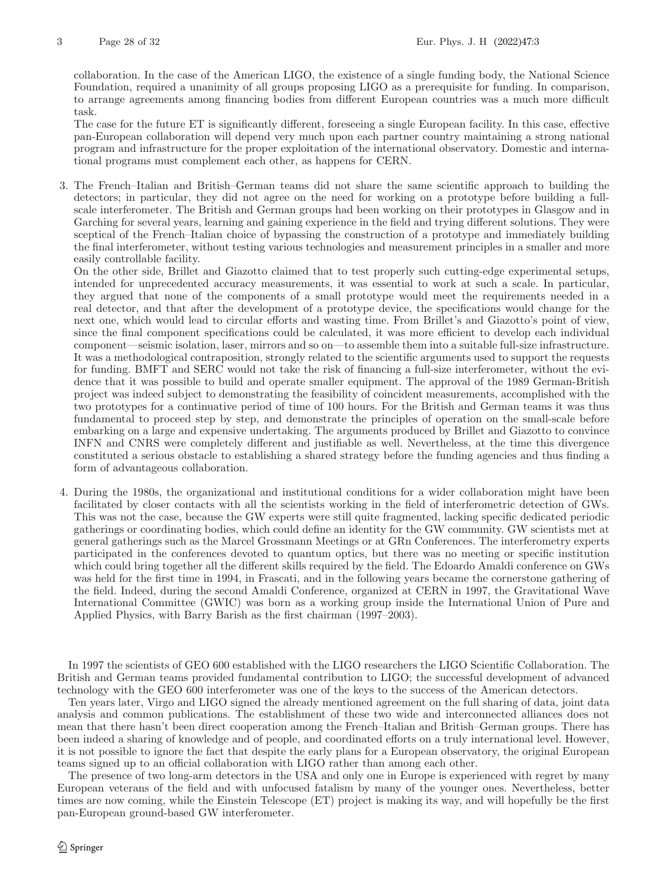collaboration. In the case of the American LIGO, the existence of a single funding body, the National Science Foundation, required a unanimity of all groups proposing LIGO as a prerequisite for funding. In comparison, to arrange agreements among financing bodies from different European countries was a much more difficult task.

The case for the future ET is significantly different, foreseeing a single European facility. In this case, effective pan-European collaboration will depend very much upon each partner country maintaining a strong national program and infrastructure for the proper exploitation of the international observatory. Domestic and international programs must complement each other, as happens for CERN.

3. The French–Italian and British–German teams did not share the same scientific approach to building the detectors; in particular, they did not agree on the need for working on a prototype before building a fullscale interferometer. The British and German groups had been working on their prototypes in Glasgow and in Garching for several years, learning and gaining experience in the field and trying different solutions. They were sceptical of the French–Italian choice of bypassing the construction of a prototype and immediately building the final interferometer, without testing various technologies and measurement principles in a smaller and more easily controllable facility.

On the other side, Brillet and Giazotto claimed that to test properly such cutting-edge experimental setups, intended for unprecedented accuracy measurements, it was essential to work at such a scale. In particular, they argued that none of the components of a small prototype would meet the requirements needed in a real detector, and that after the development of a prototype device, the specifications would change for the next one, which would lead to circular efforts and wasting time. From Brillet's and Giazotto's point of view, since the final component specifications could be calculated, it was more efficient to develop each individual component—seismic isolation, laser, mirrors and so on—to assemble them into a suitable full-size infrastructure. It was a methodological contraposition, strongly related to the scientific arguments used to support the requests for funding. BMFT and SERC would not take the risk of financing a full-size interferometer, without the evidence that it was possible to build and operate smaller equipment. The approval of the 1989 German-British project was indeed subject to demonstrating the feasibility of coincident measurements, accomplished with the two prototypes for a continuative period of time of 100 hours. For the British and German teams it was thus fundamental to proceed step by step, and demonstrate the principles of operation on the small-scale before embarking on a large and expensive undertaking. The arguments produced by Brillet and Giazotto to convince INFN and CNRS were completely different and justifiable as well. Nevertheless, at the time this divergence constituted a serious obstacle to establishing a shared strategy before the funding agencies and thus finding a form of advantageous collaboration.

4. During the 1980s, the organizational and institutional conditions for a wider collaboration might have been facilitated by closer contacts with all the scientists working in the field of interferometric detection of GWs. This was not the case, because the GW experts were still quite fragmented, lacking specific dedicated periodic gatherings or coordinating bodies, which could define an identity for the GW community. GW scientists met at general gatherings such as the Marcel Grossmann Meetings or at GRn Conferences. The interferometry experts participated in the conferences devoted to quantum optics, but there was no meeting or specific institution which could bring together all the different skills required by the field. The Edoardo Amaldi conference on GWs was held for the first time in 1994, in Frascati, and in the following years became the cornerstone gathering of the field. Indeed, during the second Amaldi Conference, organized at CERN in 1997, the Gravitational Wave International Committee (GWIC) was born as a working group inside the International Union of Pure and Applied Physics, with Barry Barish as the first chairman (1997–2003).

In 1997 the scientists of GEO 600 established with the LIGO researchers the LIGO Scientific Collaboration. The British and German teams provided fundamental contribution to LIGO; the successful development of advanced technology with the GEO 600 interferometer was one of the keys to the success of the American detectors.

Ten years later, Virgo and LIGO signed the already mentioned agreement on the full sharing of data, joint data analysis and common publications. The establishment of these two wide and interconnected alliances does not mean that there hasn't been direct cooperation among the French–Italian and British–German groups. There has been indeed a sharing of knowledge and of people, and coordinated efforts on a truly international level. However, it is not possible to ignore the fact that despite the early plans for a European observatory, the original European teams signed up to an official collaboration with LIGO rather than among each other.

The presence of two long-arm detectors in the USA and only one in Europe is experienced with regret by many European veterans of the field and with unfocused fatalism by many of the younger ones. Nevertheless, better times are now coming, while the Einstein Telescope (ET) project is making its way, and will hopefully be the first pan-European ground-based GW interferometer.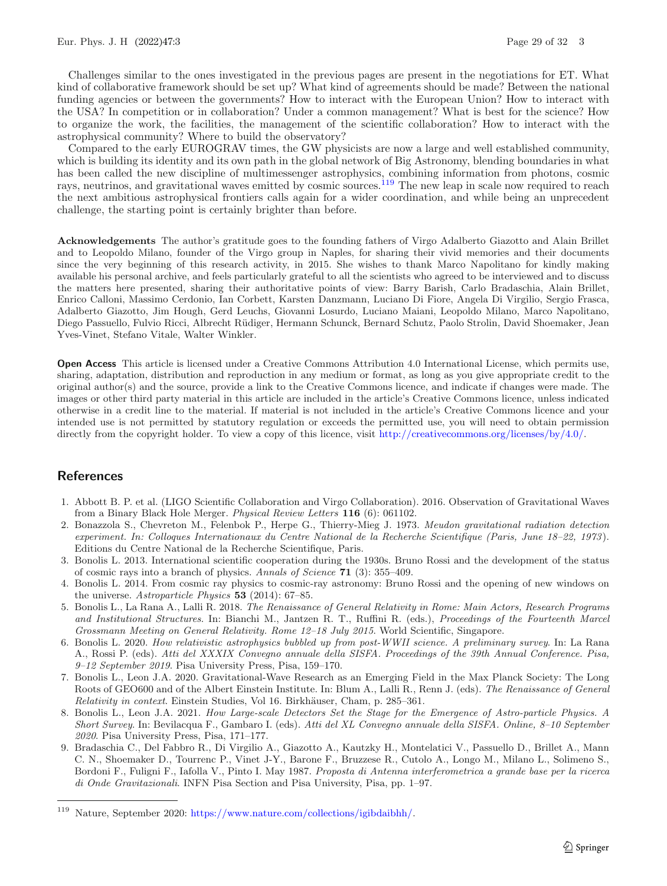Challenges similar to the ones investigated in the previous pages are present in the negotiations for ET. What kind of collaborative framework should be set up? What kind of agreements should be made? Between the national funding agencies or between the governments? How to interact with the European Union? How to interact with the USA? In competition or in collaboration? Under a common management? What is best for the science? How to organize the work, the facilities, the management of the scientific collaboration? How to interact with the astrophysical community? Where to build the observatory?

Compared to the early EUROGRAV times, the GW physicists are now a large and well established community, which is building its identity and its own path in the global network of Big Astronomy, blending boundaries in what has been called the new discipline of multimessenger astrophysics, combining information from photons, cosmic rays, neutrinos, and gravitational waves emitted by cosmic sources.<sup>[119](#page-28-9)</sup> The new leap in scale now required to reach the next ambitious astrophysical frontiers calls again for a wider coordination, and while being an unprecedent challenge, the starting point is certainly brighter than before.

**Acknowledgements** The author's gratitude goes to the founding fathers of Virgo Adalberto Giazotto and Alain Brillet and to Leopoldo Milano, founder of the Virgo group in Naples, for sharing their vivid memories and their documents since the very beginning of this research activity, in 2015. She wishes to thank Marco Napolitano for kindly making available his personal archive, and feels particularly grateful to all the scientists who agreed to be interviewed and to discuss the matters here presented, sharing their authoritative points of view: Barry Barish, Carlo Bradaschia, Alain Brillet, Enrico Calloni, Massimo Cerdonio, Ian Corbett, Karsten Danzmann, Luciano Di Fiore, Angela Di Virgilio, Sergio Frasca, Adalberto Giazotto, Jim Hough, Gerd Leuchs, Giovanni Losurdo, Luciano Maiani, Leopoldo Milano, Marco Napolitano, Diego Passuello, Fulvio Ricci, Albrecht Rüdiger, Hermann Schunck, Bernard Schutz, Paolo Strolin, David Shoemaker, Jean Yves-Vinet, Stefano Vitale, Walter Winkler.

**Open Access** This article is licensed under a Creative Commons Attribution 4.0 International License, which permits use, sharing, adaptation, distribution and reproduction in any medium or format, as long as you give appropriate credit to the original author(s) and the source, provide a link to the Creative Commons licence, and indicate if changes were made. The images or other third party material in this article are included in the article's Creative Commons licence, unless indicated otherwise in a credit line to the material. If material is not included in the article's Creative Commons licence and your intended use is not permitted by statutory regulation or exceeds the permitted use, you will need to obtain permission directly from the copyright holder. To view a copy of this licence, visit [http://creativecommons.org/licenses/by/4.0/.](http://creativecommons.org/licenses/by/4.0/)

## **References**

- <span id="page-28-0"></span>1. Abbott B. P. et al. (LIGO Scientific Collaboration and Virgo Collaboration). 2016. Observation of Gravitational Waves from a Binary Black Hole Merger. *Physical Review Letters* **116** (6): 061102.
- <span id="page-28-2"></span>2. Bonazzola S., Chevreton M., Felenbok P., Herpe G., Thierry-Mieg J. 1973. *Meudon gravitational radiation detection experiment. In: Colloques Internationaux du Centre National de la Recherche Scientifique (Paris, June 18–22, 1973*). Editions du Centre National de la Recherche Scientifique, Paris.
- <span id="page-28-5"></span>3. Bonolis L. 2013. International scientific cooperation during the 1930s. Bruno Rossi and the development of the status of cosmic rays into a branch of physics. *Annals of Science* **71** (3): 355–409.
- <span id="page-28-6"></span>4. Bonolis L. 2014. From cosmic ray physics to cosmic-ray astronomy: Bruno Rossi and the opening of new windows on the universe. *Astroparticle Physics* **53** (2014): 67–85.
- <span id="page-28-3"></span>5. Bonolis L., La Rana A., Lalli R. 2018. *The Renaissance of General Relativity in Rome: Main Actors, Research Programs and Institutional Structures*. In: Bianchi M., Jantzen R. T., Ruffini R. (eds.), *Proceedings of the Fourteenth Marcel Grossmann Meeting on General Relativity. Rome 12–18 July 2015*. World Scientific, Singapore.
- <span id="page-28-4"></span>6. Bonolis L. 2020. *How relativistic astrophysics bubbled up from post-WWII science. A preliminary survey*. In: La Rana A., Rossi P. (eds). *Atti del XXXIX Convegno annuale della SISFA. Proceedings of the 39th Annual Conference. Pisa, 9–12 September 2019*. Pisa University Press, Pisa, 159–170.
- <span id="page-28-1"></span>7. Bonolis L., Leon J.A. 2020. Gravitational-Wave Research as an Emerging Field in the Max Planck Society: The Long Roots of GEO600 and of the Albert Einstein Institute. In: Blum A., Lalli R., Renn J. (eds). *The Renaissance of General Relativity in context*. Einstein Studies, Vol 16. Birkhäuser, Cham, p. 285–361.
- <span id="page-28-7"></span>8. Bonolis L., Leon J.A. 2021. *How Large-scale Detectors Set the Stage for the Emergence of Astro-particle Physics. A Short Survey*. In: Bevilacqua F., Gambaro I. (eds). *Atti del XL Convegno annuale della SISFA. Online, 8–10 September 2020*. Pisa University Press, Pisa, 171–177.
- <span id="page-28-8"></span>9. Bradaschia C., Del Fabbro R., Di Virgilio A., Giazotto A., Kautzky H., Montelatici V., Passuello D., Brillet A., Mann C. N., Shoemaker D., Tourrenc P., Vinet J-Y., Barone F., Bruzzese R., Cutolo A., Longo M., Milano L., Solimeno S., Bordoni F., Fuligni F., Iafolla V., Pinto I. May 1987. *Proposta di Antenna interferometrica a grande base per la ricerca di Onde Gravitazionali*. INFN Pisa Section and Pisa University, Pisa, pp. 1–97.

<span id="page-28-9"></span><sup>119</sup> Nature, September 2020: [https://www.nature.com/collections/igibdaibhh/.](https://www.nature.com/collections/igibdaibhh/)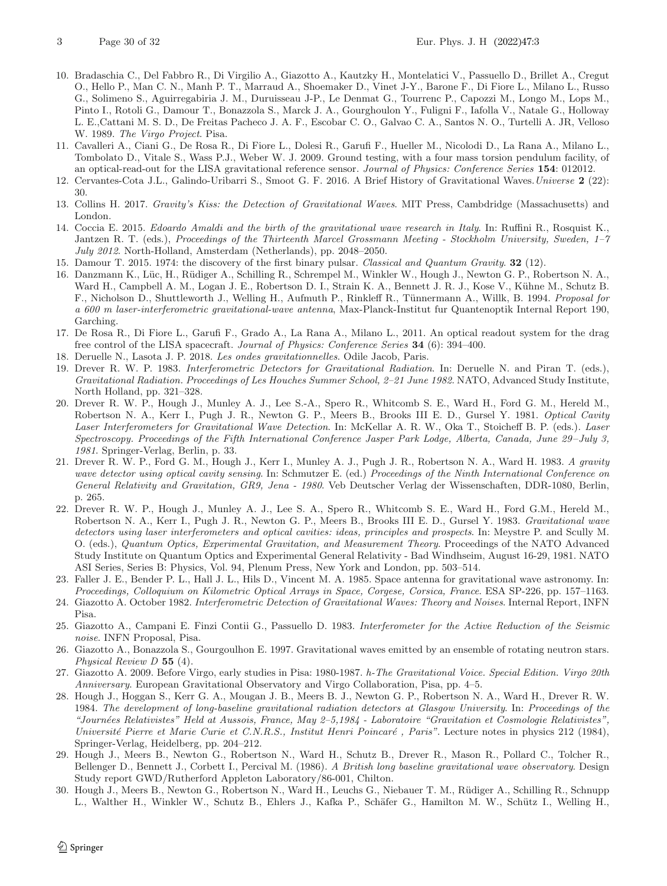- <span id="page-29-11"></span>10. Bradaschia C., Del Fabbro R., Di Virgilio A., Giazotto A., Kautzky H., Montelatici V., Passuello D., Brillet A., Cregut O., Hello P., Man C. N., Manh P. T., Marraud A., Shoemaker D., Vinet J-Y., Barone F., Di Fiore L., Milano L., Russo G., Solimeno S., Aguirregabiria J. M., Duruisseau J-P., Le Denmat G., Tourrenc P., Capozzi M., Longo M., Lops M., Pinto I., Rotoli G., Damour T., Bonazzola S., Marck J. A., Gourghoulon Y., Fuligni F., Iafolla V., Natale G., Holloway L. E.,Cattani M. S. D., De Freitas Pacheco J. A. F., Escobar C. O., Galvao C. A., Santos N. O., Turtelli A. JR, Velloso W. 1989. *The Virgo Project*. Pisa.
- <span id="page-29-16"></span>11. Cavalleri A., Ciani G., De Rosa R., Di Fiore L., Dolesi R., Garufi F., Hueller M., Nicolodi D., La Rana A., Milano L., Tombolato D., Vitale S., Wass P.J., Weber W. J. 2009. Ground testing, with a four mass torsion pendulum facility, of an optical-read-out for the LISA gravitational reference sensor. *Journal of Physics: Conference Series* **154**: 012012.
- <span id="page-29-15"></span>12. Cervantes-Cota J.L., Galindo-Uribarri S., Smoot G. F. 2016. A Brief History of Gravitational Waves.*Universe* **2** (22): 30.
- <span id="page-29-0"></span>13. Collins H. 2017. *Gravity's Kiss: the Detection of Gravitational Waves*. MIT Press, Cambdridge (Massachusetts) and London.
- <span id="page-29-5"></span>14. Coccia E. 2015. *Edoardo Amaldi and the birth of the gravitational wave research in Italy*. In: Ruffini R., Rosquist K., Jantzen R. T. (eds.), *Proceedings of the Thirteenth Marcel Grossmann Meeting - Stockholm University, Sweden, 1–7 July 2012*. North-Holland, Amsterdam (Netherlands), pp. 2048–2050.
- <span id="page-29-12"></span>15. Damour T. 2015. 1974: the discovery of the first binary pulsar. *Classical and Quantum Gravity*. **32** (12).
- <span id="page-29-19"></span>16. Danzmann K., Lüc, H., Rüdiger A., Schilling R., Schrempel M., Winkler W., Hough J., Newton G. P., Robertson N. A., Ward H., Campbell A. M., Logan J. E., Robertson D. I., Strain K. A., Bennett J. R. J., Kose V., Kühne M., Schutz B. F., Nicholson D., Shuttleworth J., Welling H., Aufmuth P., Rinkleff R., T¨unnermann A., Willk, B. 1994. *Proposal for a 600 m laser-interferometric gravitational-wave antenna*, Max-Planck-Institut fur Quantenoptik Internal Report 190, Garching.
- <span id="page-29-17"></span>17. De Rosa R., Di Fiore L., Garufi F., Grado A., La Rana A., Milano L., 2011. An optical readout system for the drag free control of the LISA spacecraft. *Journal of Physics: Conference Series* **34** (6): 394–400.
- <span id="page-29-9"></span>18. Deruelle N., Lasota J. P. 2018. *Les ondes gravitationnelles*. Odile Jacob, Paris.
- <span id="page-29-8"></span>19. Drever R. W. P. 1983. *Interferometric Detectors for Gravitational Radiation*. In: Deruelle N. and Piran T. (eds.), *Gravitational Radiation. Proceedings of Les Houches Summer School, 2–21 June 1982*. NATO, Advanced Study Institute, North Holland, pp. 321–328.
- <span id="page-29-1"></span>20. Drever R. W. P., Hough J., Munley A. J., Lee S.-A., Spero R., Whitcomb S. E., Ward H., Ford G. M., Hereld M., Robertson N. A., Kerr I., Pugh J. R., Newton G. P., Meers B., Brooks III E. D., Gursel Y. 1981. *Optical Cavity Laser Interferometers for Gravitational Wave Detection*. In: McKellar A. R. W., Oka T., Stoicheff B. P. (eds.). *Laser Spectroscopy. Proceedings of the Fifth International Conference Jasper Park Lodge, Alberta, Canada, June 29* –*July 3, 1981*. Springer-Verlag, Berlin, p. 33.
- 21. Drever R. W. P., Ford G. M., Hough J., Kerr I., Munley A. J., Pugh J. R., Robertson N. A., Ward H. 1983. *A gravity wave detector using optical cavity sensing*. In: Schmutzer E. (ed.) *Proceedings of the Ninth International Conference on General Relativity and Gravitation, GR9, Jena - 1980*. Veb Deutscher Verlag der Wissenschaften, DDR-1080, Berlin, p. 265.
- <span id="page-29-2"></span>22. Drever R. W. P., Hough J., Munley A. J., Lee S. A., Spero R., Whitcomb S. E., Ward H., Ford G.M., Hereld M., Robertson N. A., Kerr I., Pugh J. R., Newton G. P., Meers B., Brooks III E. D., Gursel Y. 1983. *Gravitational wave detectors using laser interferometers and optical cavities: ideas, principles and prospects*. In: Meystre P. and Scully M. O. (eds.), *Quantum Optics, Experimental Gravitation, and Measurement Theory*. Proceedings of the NATO Advanced Study Institute on Quantum Optics and Experimental General Relativity - Bad Windhseim, August 16-29, 1981. NATO ASI Series, Series B: Physics, Vol. 94, Plenum Press, New York and London, pp. 503–514.
- <span id="page-29-4"></span>23. Faller J. E., Bender P. L., Hall J. L., Hils D., Vincent M. A. 1985. Space antenna for gravitational wave astronomy. In: *Proceedings, Colloquium on Kilometric Optical Arrays in Space, Corgese, Corsica, France*. ESA SP-226, pp. 157–1163.
- <span id="page-29-13"></span>24. Giazotto A. October 1982. *Interferometric Detection of Gravitational Waves: Theory and Noises*. Internal Report, INFN Pisa.
- <span id="page-29-6"></span>25. Giazotto A., Campani E. Finzi Contii G., Passuello D. 1983. *Interferometer for the Active Reduction of the Seismic noise*. INFN Proposal, Pisa.
- <span id="page-29-18"></span>26. Giazotto A., Bonazzola S., Gourgoulhon E. 1997. Gravitational waves emitted by an ensemble of rotating neutron stars. *Physical Review D* **55** (4).
- <span id="page-29-7"></span>27. Giazotto A. 2009. Before Virgo, early studies in Pisa: 1980-1987. *h-The Gravitational Voice. Special Edition. Virgo 20th Anniversary*. European Gravitational Observatory and Virgo Collaboration, Pisa, pp. 4–5.
- <span id="page-29-14"></span>28. Hough J., Hoggan S., Kerr G. A., Mougan J. B., Meers B. J., Newton G. P., Robertson N. A., Ward H., Drever R. W. 1984. *The development of long-baseline gravitational radiation detectors at Glasgow University*. In: *Proceedings of the "Journ´ees Relativistes" Held at Aussois, France, May 2–5,1984 - Laboratoire "Gravitation et Cosmologie Relativistes", Université Pierre et Marie Curie et C.N.R.S., Institut Henri Poincaré, Paris"*. Lecture notes in physics 212 (1984), Springer-Verlag, Heidelberg, pp. 204–212.
- <span id="page-29-3"></span>29. Hough J., Meers B., Newton G., Robertson N., Ward H., Schutz B., Drever R., Mason R., Pollard C., Tolcher R., Bellenger D., Bennett J., Corbett I., Percival M. (1986). *A British long baseline gravitational wave observatory*. Design Study report GWD/Rutherford Appleton Laboratory/86-001, Chilton.
- <span id="page-29-10"></span>30. Hough J., Meers B., Newton G., Robertson N., Ward H., Leuchs G., Niebauer T. M., R¨udiger A., Schilling R., Schnupp L., Walther H., Winkler W., Schutz B., Ehlers J., Kafka P., Schäfer G., Hamilton M. W., Schütz I., Welling H.,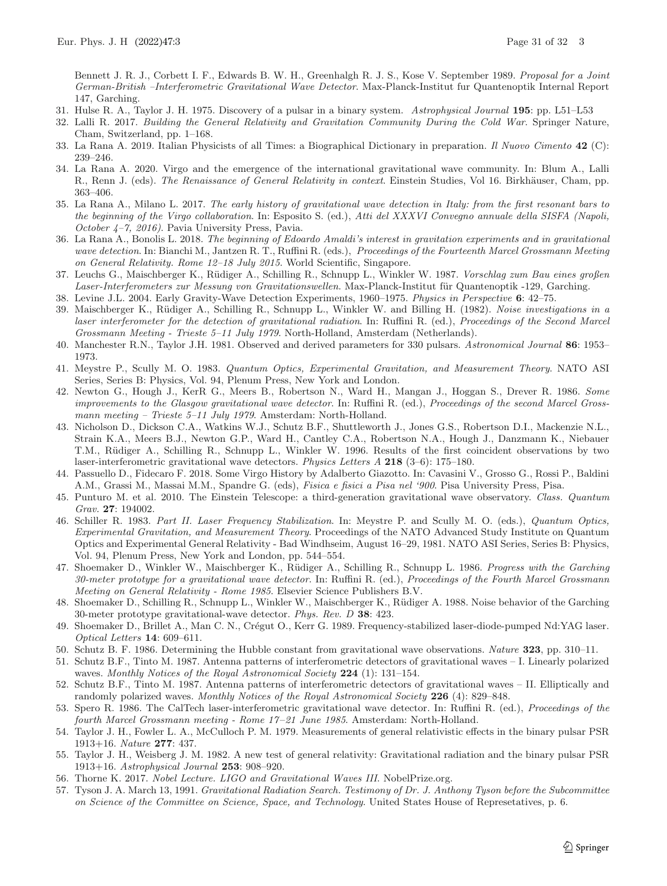Bennett J. R. J., Corbett I. F., Edwards B. W. H., Greenhalgh R. J. S., Kose V. September 1989. *Proposal for a Joint German-British –Interferometric Gravitational Wave Detector*. Max-Planck-Institut fur Quantenoptik Internal Report 147, Garching.

- <span id="page-30-16"></span>31. Hulse R. A., Taylor J. H. 1975. Discovery of a pulsar in a binary system. *Astrophysical Journal* **195**: pp. L51–L53
- <span id="page-30-1"></span>32. Lalli R. 2017. *Building the General Relativity and Gravitation Community During the Cold War*. Springer Nature, Cham, Switzerland, pp. 1–168.
- <span id="page-30-12"></span>33. La Rana A. 2019. Italian Physicists of all Times: a Biographical Dictionary in preparation. *Il Nuovo Cimento* **42** (C): 239–246.
- <span id="page-30-4"></span>34. La Rana A. 2020. Virgo and the emergence of the international gravitational wave community. In: Blum A., Lalli R., Renn J. (eds). *The Renaissance of General Relativity in context*. Einstein Studies, Vol 16. Birkhäuser, Cham, pp. 363–406.
- <span id="page-30-23"></span>35. La Rana A., Milano L. 2017. *The early history of gravitational wave detection in Italy: from the first resonant bars to the beginning of the Virgo collaboration*. In: Esposito S. (ed.), *Atti del XXXVI Convegno annuale della SISFA (Napoli, October 4–7, 2016)*. Pavia University Press, Pavia.
- <span id="page-30-11"></span>36. La Rana A., Bonolis L. 2018. *The beginning of Edoardo Amaldi's interest in gravitation experiments and in gravitational wave detection*. In: Bianchi M., Jantzen R. T., Ruffini R. (eds.), *Proceedings of the Fourteenth Marcel Grossmann Meeting on General Relativity. Rome 12–18 July 2015*. World Scientific, Singapore.
- <span id="page-30-20"></span>37. Leuchs G., Maischberger K., R¨udiger A., Schilling R., Schnupp L., Winkler W. 1987. *Vorschlag zum Bau eines großen* Laser-Interferometers zur Messung von Gravitationswellen. Max-Planck-Institut für Quantenoptik -129, Garching.
- <span id="page-30-3"></span>38. Levine J.L. 2004. Early Gravity-Wave Detection Experiments, 1960–1975. *Physics in Perspective* **6**: 42–75.
- <span id="page-30-9"></span>39. Maischberger K., R¨udiger A., Schilling R., Schnupp L., Winkler W. and Billing H. (1982). *Noise investigations in a laser interferometer for the detection of gravitational radiation*. In: Ruffini R. (ed.), *Proceedings of the Second Marcel Grossmann Meeting - Trieste 5–11 July 1979*. North-Holland, Amsterdam (Netherlands).
- <span id="page-30-19"></span>40. Manchester R.N., Taylor J.H. 1981. Observed and derived parameters for 330 pulsars. *Astronomical Journal* **86**: 1953– 1973.
- <span id="page-30-13"></span>41. Meystre P., Scully M. O. 1983. *Quantum Optics, Experimental Gravitation, and Measurement Theory*. NATO ASI Series, Series B: Physics, Vol. 94, Plenum Press, New York and London.
- <span id="page-30-7"></span>42. Newton G., Hough J., KerR G., Meers B., Robertson N., Ward H., Mangan J., Hoggan S., Drever R. 1986. *Some improvements to the Glasgow gravitational wave detector*. In: Ruffini R. (ed.), *Proceedings of the second Marcel Grossmann meeting – Trieste 5–11 July 1979*. Amsterdam: North-Holland.
- <span id="page-30-26"></span>43. Nicholson D., Dickson C.A., Watkins W.J., Schutz B.F., Shuttleworth J., Jones G.S., Robertson D.I., Mackenzie N.L., Strain K.A., Meers B.J., Newton G.P., Ward H., Cantley C.A., Robertson N.A., Hough J., Danzmann K., Niebauer T.M., Rüdiger A., Schilling R., Schnupp L., Winkler W. 1996. Results of the first coincident observations by two laser-interferometric gravitational wave detectors. *Physics Letters A* **218** (3–6): 175–180.
- <span id="page-30-10"></span>44. Passuello D., Fidecaro F. 2018. Some Virgo History by Adalberto Giazotto. In: Cavasini V., Grosso G., Rossi P., Baldini A.M., Grassi M., Massai M.M., Spandre G. (eds), *Fisica e fisici a Pisa nel '900*. Pisa University Press, Pisa.
- <span id="page-30-2"></span>45. Punturo M. et al. 2010. The Einstein Telescope: a third-generation gravitational wave observatory. *Class. Quantum Grav.* **27**: 194002.
- <span id="page-30-14"></span>46. Schiller R. 1983. *Part II. Laser Frequency Stabilization*. In: Meystre P. and Scully M. O. (eds.), *Quantum Optics, Experimental Gravitation, and Measurement Theory*. Proceedings of the NATO Advanced Study Institute on Quantum Optics and Experimental General Relativity - Bad Windhseim, August 16–29, 1981. NATO ASI Series, Series B: Physics, Vol. 94, Plenum Press, New York and London, pp. 544–554.
- <span id="page-30-5"></span>47. Shoemaker D., Winkler W., Maischberger K., R¨udiger A., Schilling R., Schnupp L. 1986. *Progress with the Garching 30-meter prototype for a gravitational wave detector*. In: Ruffini R. (ed.), *Proceedings of the Fourth Marcel Grossmann Meeting on General Relativity - Rome 1985*. Elsevier Science Publishers B.V.
- <span id="page-30-6"></span>48. Shoemaker D., Schilling R., Schnupp L., Winkler W., Maischberger K., Rüdiger A. 1988. Noise behavior of the Garching 30-meter prototype gravitational-wave detector. *Phys. Rev. D* **38**: 423.
- <span id="page-30-15"></span>49. Shoemaker D., Brillet A., Man C. N., Crégut O., Kerr G. 1989. Frequency-stabilized laser-diode-pumped Nd:YAG laser. *Optical Letters* **14**: 609–611.
- <span id="page-30-24"></span>50. Schutz B. F. 1986. Determining the Hubble constant from gravitational wave observations. *Nature* **323**, pp. 310–11.
- <span id="page-30-21"></span>51. Schutz B.F., Tinto M. 1987. Antenna patterns of interferometric detectors of gravitational waves – I. Linearly polarized waves. *Monthly Notices of the Royal Astronomical Society* **224** (1): 131–154.
- <span id="page-30-22"></span>52. Schutz B.F., Tinto M. 1987. Antenna patterns of interferometric detectors of gravitational waves – II. Elliptically and randomly polarized waves. *Monthly Notices of the Royal Astronomical Society* **226** (4): 829–848.
- <span id="page-30-8"></span>53. Spero R. 1986. The CalTech laser-interferometric gravitational wave detector. In: Ruffini R. (ed.), *Proceedings of the fourth Marcel Grossmann meeting - Rome 17* –*21 June 1985*. Amsterdam: North-Holland.
- <span id="page-30-17"></span>54. Taylor J. H., Fowler L. A., McCulloch P. M. 1979. Measurements of general relativistic effects in the binary pulsar PSR 1913+16. *Nature* **277**: 437.
- <span id="page-30-18"></span>55. Taylor J. H., Weisberg J. M. 1982. A new test of general relativity: Gravitational radiation and the binary pulsar PSR 1913+16. *Astrophysical Journal* **253**: 908–920.
- <span id="page-30-25"></span>56. Thorne K. 2017. *Nobel Lecture. LIGO and Gravitational Waves III*. NobelPrize.org.
- <span id="page-30-0"></span>57. Tyson J. A. March 13, 1991. *Gravitational Radiation Search. Testimony of Dr. J. Anthony Tyson before the Subcommittee on Science of the Committee on Science, Space, and Technology*. United States House of Represetatives, p. 6.